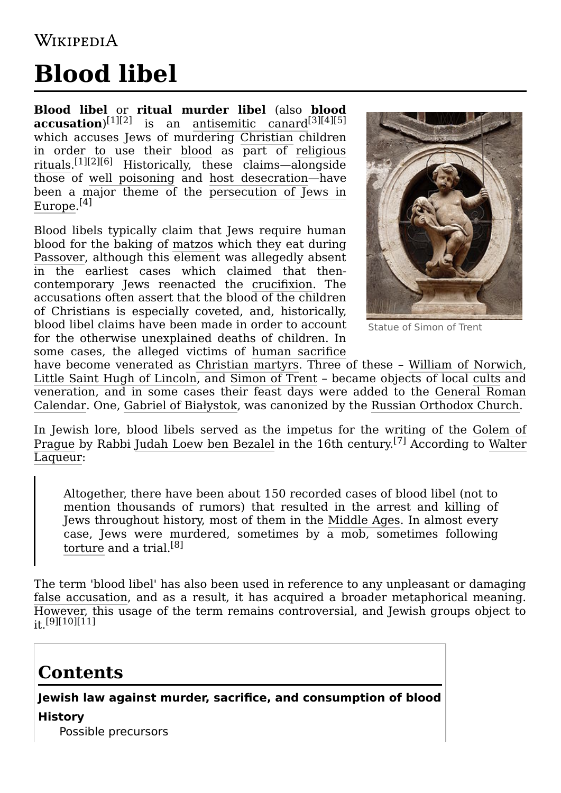### **WIKIPEDIA**

# **Blood libel**

**Blood libel** or **ritual murder libel** (also **blood accusation**) [\[1\]](#page-14-0)[\[2\]](#page-14-1) is an [antisemitic canard](https://en.wikipedia.org/wiki/Antisemitic_canard)[\[3\]](#page-14-2)[\[4\]](#page-14-3)[\[5\]](#page-14-4) which accuses Jews of murdering [Christian](https://en.wikipedia.org/wiki/Christians) children in order to use their [blood](https://en.wikipedia.org/wiki/Human_blood) as  $\overline{part}$  of religious rituals. [\[1\]](#page-14-0)[\[2\]](#page-14-1)[\[6\]](#page-14-5) [Historically, these claims—alongside](https://en.wikipedia.org/wiki/Religious_ritual) those of [well poisoning](https://en.wikipedia.org/wiki/Well_poisoning) and [host desecration](https://en.wikipedia.org/wiki/Host_desecration)—have [been a major theme of the persecution of Jews in](https://en.wikipedia.org/wiki/History_of_the_Jews_in_Europe) Europe. [\[4\]](#page-14-3)

Blood libels typically claim that Jews require human blood for the baking of [matzos](https://en.wikipedia.org/wiki/Matzo) which they eat during [Passover,](https://en.wikipedia.org/wiki/Passover) although this element was allegedly absent in the earliest cases which claimed that thencontemporary Jews reenacted the [crucifixion.](https://en.wikipedia.org/wiki/Crucifixion_of_Jesus) The accusations often assert that the blood of the children of Christians is especially coveted, and, historically, blood libel claims have been made in order to account for the otherwise unexplained deaths of children. In some cases, the alleged victims of [human sacrifice](https://en.wikipedia.org/wiki/Human_sacrifice)



Statue of [Simon](https://en.wikipedia.org/wiki/Simon_of_Trent) of Trent

have become venerated as [Christian martyrs](https://en.wikipedia.org/wiki/Christian_martyr). Three of these - [William of Norwich,](https://en.wikipedia.org/wiki/William_of_Norwich) [Little Saint Hugh of Lincoln,](https://en.wikipedia.org/wiki/Little_Saint_Hugh_of_Lincoln) and [Simon of Trent](https://en.wikipedia.org/wiki/Simon_of_Trent) – became objects of local [cults](https://en.wikipedia.org/wiki/Cult_(religious_practice)) and veneration, and in some cases their feast days were added to the General Roman [Calendar. One, Gabriel of Białystok, was canonized by the Russian Orthodox Church.](https://en.wikipedia.org/wiki/General_Roman_Calendar)

[In Jewish lore, blood libels served as the impetus for the writing of the Golem of](https://en.wikipedia.org/wiki/Golem#The_classic_narrative:_The_Golem_of_Prague) Prague [by Rabbi](https://en.wikipedia.org/wiki/Walter_Laqueur) [Judah Loew ben Bezale](https://en.wikipedia.org/wiki/Judah_Loew_ben_Bezalel)[l](https://en.wikipedia.org/wiki/Walter_Laqueur) in the 16th century.<sup>[\[7\]](#page-14-6)</sup> According to Walter Laqueur:

Altogether, there have been about 150 recorded cases of blood libel (not to mention thousands of rumors) that resulted in the arrest and killing of Jews throughout history, most of them in the [Middle Ages.](https://en.wikipedia.org/wiki/Middle_Ages) In almost every case, Jews were murdered, sometimes by a mob, sometimes following [torture](https://en.wikipedia.org/wiki/Torture) and a trial.<sup>[\[8\]](#page-14-7)</sup>

The term 'blood libel' has also been used in reference to any unpleasant or damaging [false accusation](https://en.wikipedia.org/wiki/False_accusation), and as a result, it has acquired a broader metaphorical meaning. However, this usage of the term remains controversial, and Jewish groups object to  $_{it}$  [\[9\]](#page-14-8)[\[10\]](#page-14-9)[\[11\]](#page-14-10)

### **Contents**

**[Jewish law against murder, sacrifice, and consumption of blood](#page-1-0)**

#### **[History](#page-2-0)**

[Possible precursors](#page-2-1)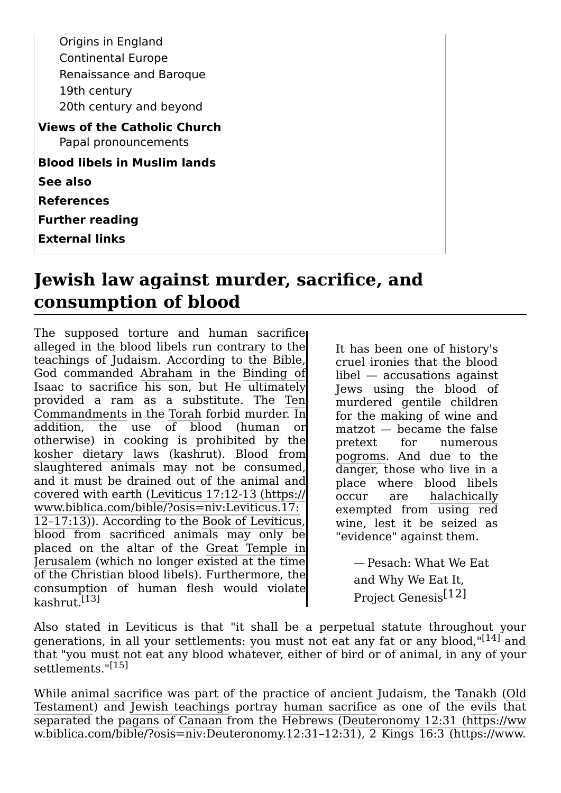[Origins in England](#page-2-2) [Continental Europe](#page-3-0) [Renaissance and Baroque](#page-6-0) [19th century](#page-7-0) [20th century and beyond](#page-8-0) **[Views of the Catholic Church](#page-11-0)** [Papal pronouncements](#page-12-0) **[Blood libels in Muslim lands](#page-12-1) [See also](#page-14-11) [References](#page-14-12) [Further reading](#page-21-0)**

**[External links](#page-21-1)**

### <span id="page-1-0"></span>**Jewish law against murder, sacrifice, and consumption of blood**

The supposed torture and human sacrifice alleged in the blood libels run contrary to the teachings of Judaism. According to the [Bible](https://en.wikipedia.org/wiki/Bible), God commanded [Abraham](https://en.wikipedia.org/wiki/Abraham) in the Binding of Isaac [to sacrifice his son, but He ultimately](https://en.wikipedia.org/wiki/Binding_of_Isaac) [provided a ram as a substitute. The Ten](https://en.wikipedia.org/wiki/Ten_Commandments) Commandments in the [Torah](https://en.wikipedia.org/wiki/Torah) forbid murder. In addition, the use of blood (human or otherwise) in cooking is prohibited by the [kosher dietary laws](https://en.wikipedia.org/wiki/Kashrut) (kashrut). Blood from slaughtered animals may not be consumed, and it must be drained out of the animal and [covered with earth \(Leviticus 17:12-13 \(https://](https://www.biblica.com/bible/?osis=niv:Leviticus.17:12%E2%80%9317:13) www.biblica.com/bible/?osis=niv:Leviticus.17: 12–17:13)). According to the [Book of Leviticus](https://en.wikipedia.org/wiki/Book_of_Leviticus), blood from sacrificed animals may only be [placed on the altar of the Great Temple in](https://en.wikipedia.org/wiki/Temple_in_Jerusalem) Jerusalem (which no longer existed at the time of the Christian blood libels). Furthermore, the consumption of human flesh would violate kashrut.[\[13\]](#page-15-1)

It has been one of history's cruel ironies that the blood libel — accusations against Jews using the blood of murdered gentile children for the making of wine and matzot — became the false pretext for numerous [pogroms.](https://en.wikipedia.org/wiki/Pogrom) And due to the danger, those who live in a place where blood libels occur are [halachically](https://en.wikipedia.org/wiki/Halakha) exempted from using red wine, lest it be seized as "evidence" against them.

> — Pesach: What We Eat and Why We Eat It, Project Genesis[\[12\]](#page-15-0)

Also stated in Leviticus is that "it shall be a perpetual statute throughout your generations, in all your settlements: you must not eat any fat or any blood,"[\[14\]](#page-15-2) and that "you must not eat any blood whatever, either of bird or of animal, in any of your settlements."[\[15\]](#page-15-3)

While [animal sacrifice](https://en.wikipedia.org/wiki/Animal_sacrifice) was part of the [practice of ancient Judaism, the](https://en.wikipedia.org/wiki/Old_Testament) [Tanak](https://en.wikipedia.org/wiki/Tanakh)[h](https://en.wikipedia.org/wiki/Old_Testament) (Old Testament) and [Jewish teachings](https://en.wikipedia.org/wiki/Halakha) portray [human sacrifice](https://en.wikipedia.org/wiki/Human_sacrifice) as one of the [evils](https://en.wikipedia.org/wiki/Evil) that separated the [pagans](https://en.wikipedia.org/wiki/Paganism) of [Canaan](https://en.wikipedia.org/wiki/Canaan) from the Hebrews (Deuteronomy 12:31 (https://ww [w.biblica.com/bible/?osis=niv:Deuteronomy.12:31–12:31\), 2 Kings 16:3](https://www.biblica.com/bible/?osis=niv:Deuteronomy.12:31%E2%80%9312:31) (https://www.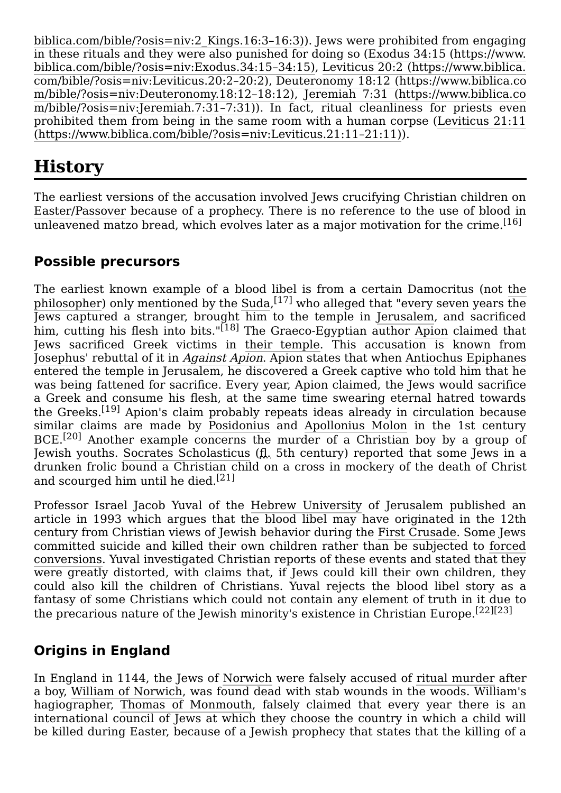[biblica.com/bible/?osis=niv:2\\_Kings.16:3–16:3\)\). Jews were prohibited from engaging](https://www.biblica.com/bible/?osis=niv:2_Kings.16:3%E2%80%9316:3) [in these rituals and they were also punished for doing so \(Exodus 34:15 \(https://www.](https://www.biblica.com/bible/?osis=niv:Exodus.34:15%E2%80%9334:15) [biblica.com/bible/?osis=niv:Exodus.34:15–34:15\), Leviticus 20:2](https://www.biblica.com/bible/?osis=niv:Leviticus.20:2%E2%80%9320:2) (https://www.biblica. [com/bible/?osis=niv:Leviticus.20:2–20:2\), Deuteronomy 18:12](https://www.biblica.com/bible/?osis=niv:Deuteronomy.18:12%E2%80%9318:12) (https://www.biblica.co m/bible/?osis=niv:Deuteronomy.18:12–18:12), Jeremiah 7:31 (https://www.biblica.co [m/bible/?osis=niv:Jeremiah.7:31–7:31\)\). In fact, ritual cleanliness for priests even](https://www.biblica.com/bible/?osis=niv:Jeremiah.7:31%E2%80%937:31) prohibited them [from being in the same room with a human corpse \(Leviticus 21:11](https://www.biblica.com/bible/?osis=niv:Leviticus.21:11%E2%80%9321:11) (https://www.biblica.com/bible/?osis=niv:Leviticus.21:11–21:11)).

### <span id="page-2-0"></span>**History**

The earliest versions of the accusation involved Jews crucifying Christian children on [Easter/](https://en.wikipedia.org/wiki/Easter)[Passover](https://en.wikipedia.org/wiki/Passover) because of a prophecy. There is no reference to the use of blood in unleavened matzo bread, which evolves later as a major motivation for the crime.<sup>[\[16\]](#page-15-4)</sup>

#### <span id="page-2-1"></span>**Possible precursors**

[The earliest known example of a blood libel is from a certain](https://en.wikipedia.org/wiki/Democritus) Damocritus (not the philosopher) only mentioned by the [Suda,](https://en.wikipedia.org/wiki/Suda) $^{[17]}$  $^{[17]}$  $^{[17]}$  who alleged that "every seven years the Jews captured a stranger, brought him to the temple in [Jerusalem,](https://en.wikipedia.org/wiki/Jerusalem) and sacrificed him, cutting his flesh into bits."<sup>[\[18\]](#page-15-6)</sup> The Graeco-Egyptian author [Apion](https://en.wikipedia.org/wiki/Apion) claimed that Jews sacrificed Greek victims in [their temple.](https://en.wikipedia.org/wiki/Second_Temple) This accusation is known from [Josephus](https://en.wikipedia.org/wiki/Josephus)' rebuttal of it in [Against Apion](https://en.wikipedia.org/wiki/Against_Apion). Apion states that when [Antiochus Epiphanes](https://en.wikipedia.org/wiki/Antiochus_IV_Epiphanes) entered the temple in Jerusalem, he discovered a Greek captive who told him that he was being fattened for sacrifice. Every year, Apion claimed, the Jews would sacrifice a Greek and consume his flesh, at the same time swearing eternal hatred towards the Greeks.[\[19\]](#page-15-7) Apion's claim probably repeats ideas already in circulation because similar claims are made by [Posidonius](https://en.wikipedia.org/wiki/Posidonius) and [Apollonius Molon](https://en.wikipedia.org/wiki/Apollonius_Molon) in the 1st century BCE.<sup>[\[20\]](#page-15-8)</sup> Another example concerns the murder of a Christian boy by a group of Jewish youths. [Socrates Scholasticus](https://en.wikipedia.org/wiki/Socrates_Scholasticus) (fl. 5th century) reported that some Jews in a drunken frolic bound a Christian child on a cross in mockery of the death of Christ and scourged him until he died.<sup>[\[21\]](#page-15-9)</sup>

Professor Israel Jacob Yuval of the [Hebrew University](https://en.wikipedia.org/wiki/Hebrew_University) of Jerusalem published an article in 1993 which argues that the blood libel may have originated in the 12th century from Christian views of Jewish behavior during the [First Crusade.](https://en.wikipedia.org/wiki/First_Crusade) Some Jews [committed suicide and killed their own children rather than be subjected to forced](https://en.wikipedia.org/wiki/Forced_conversion) conversions. Yuval investigated Christian reports of these events and stated that they were greatly distorted, with claims that, if Jews could kill their own children, they could also kill the children of Christians. Yuval rejects the blood libel story as a fantasy of some Christians which could not contain any element of truth in it due to the precarious nature of the Jewish minority's existence in Christian Europe.[\[22\]](#page-15-10)[\[23\]](#page-15-11)

#### <span id="page-2-2"></span>**Origins in England**

In England in 1144, the Jews of [Norwich](https://en.wikipedia.org/wiki/Norwich) were falsely accused of [ritual murder](https://en.wikipedia.org/wiki/Human_sacrifice) after a boy, [William of Norwich,](https://en.wikipedia.org/wiki/William_of_Norwich) was found dead with stab wounds in the woods. William's hagiographer, [Thomas of Monmouth,](https://en.wikipedia.org/wiki/Thomas_of_Monmouth) falsely claimed that every year there is an international council of Jews at which they choose the country in which a child will be killed during Easter, because of a Jewish prophecy that states that the killing of a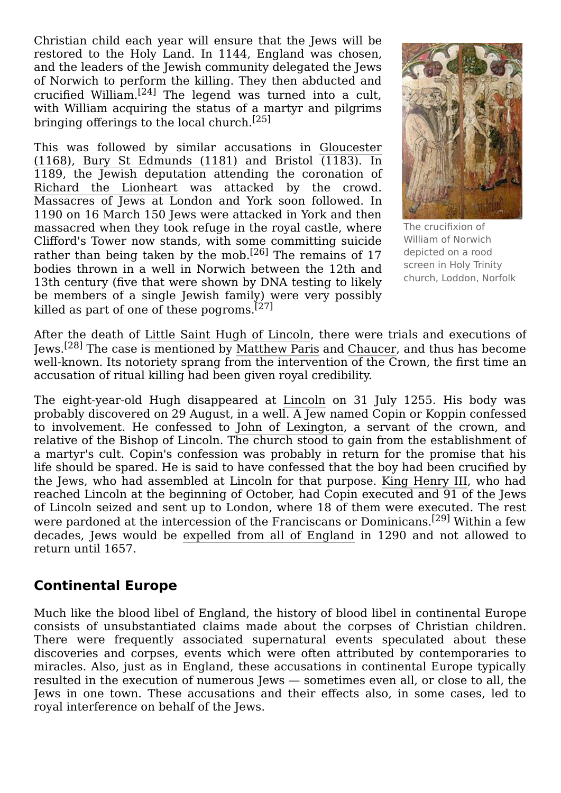Christian child each year will ensure that the Jews will be restored to the Holy Land. In 1144, England was chosen, and the leaders of the Jewish community delegated the Jews of Norwich to perform the killing. They then abducted and crucified William.<sup>[\[24\]](#page-15-12)</sup> The legend was turned into a cult, with William acquiring the status of a martyr and pilgrims bringing offerings to the local church.<sup>[\[25\]](#page-15-13)</sup>

[This was followed by similar accusations in Gloucester](https://en.wikipedia.org/wiki/Harold_of_Gloucester) (1168), [Bury St Edmunds \(1181\)](https://en.wikipedia.org/wiki/Robert_of_Bury) and Bristol  $\overline{(1183)}$ . In 1189, the Jewish deputation attending the coronation of [Richard the Lionheart](https://en.wikipedia.org/wiki/Richard_I_of_England) was attacked by the crowd. [Massacres of Jews at London and York](https://en.wikipedia.org/wiki/History_of_the_Jews_in_England#Massacres_at_London_and_York_(1189%E2%80%9390)) soon followed. In 1190 on 16 March 150 Jews were attacked in York and then massacred when they took refuge in the royal castle, where Clifford's Tower now stands, with some committing suicide rather than being taken by the mob.<sup>[\[26\]](#page-15-14)</sup> The remains of 17 bodies thrown in a well in Norwich between the 12th and 13th century (five that were shown by DNA testing to likely be members of a single Jewish family) were very possibly killed as part of one of these pogroms.<sup>[\[27\]](#page-15-15)</sup>



The crucifixion of William of Norwich [depicted](https://en.wikipedia.org/wiki/Rood_screen) on a rood screen in Holy Trinity church, [Loddon,](https://en.wikipedia.org/wiki/Loddon,_Norfolk) Norfolk

After the death of [Little Saint Hugh of Lincoln](https://en.wikipedia.org/wiki/Little_Saint_Hugh_of_Lincoln), there were trials and executions of Jews.[\[28\]](#page-16-0) The case is mentioned by [Matthew Paris](https://en.wikipedia.org/wiki/Matthew_Paris) and [Chaucer,](https://en.wikipedia.org/wiki/Chaucer) and thus has become well-known. Its notoriety sprang from the intervention of the Crown, the first time an accusation of ritual killing had been given royal credibility.

The eight-year-old Hugh disappeared at [Lincoln](https://en.wikipedia.org/wiki/Lincoln,_Lincolnshire) on 31 July 1255. His body was probably discovered on 29 August, in a well. A Jew named Copin or Koppin confessed to involvement. He confessed to [John of Lexington,](https://en.wikipedia.org/wiki/John_Lexington) a servant of the crown, and relative of the Bishop of Lincoln. The church stood to gain from the establishment of a martyr's cult. Copin's confession was probably in return for the promise that his life should be spared. He is said to have confessed that the boy had been crucified by the Jews, who had assembled at Lincoln for that purpose. [King Henry III](https://en.wikipedia.org/wiki/Henry_III_of_England), who had reached Lincoln at the beginning of October, had Copin executed and 91 of the Jews of Lincoln seized and sent up to London, where 18 of them were executed. The rest were pardoned at the intercession of the Franciscans or Dominicans.[\[29\]](#page-16-1) Within a few decades, Jews would be [expelled from all of England](https://en.wikipedia.org/wiki/Edict_of_Expulsion) in 1290 and not allowed to return until 1657.

#### <span id="page-3-0"></span>**Continental Europe**

Much like the blood libel of England, the history of blood libel in continental Europe consists of unsubstantiated claims made about the corpses of Christian children. There were frequently associated supernatural events speculated about these discoveries and corpses, events which were often attributed by contemporaries to miracles. Also, just as in England, these accusations in continental Europe typically resulted in the execution of numerous Jews — sometimes even all, or close to all, the Jews in one town. These accusations and their effects also, in some cases, led to royal interference on behalf of the Jews.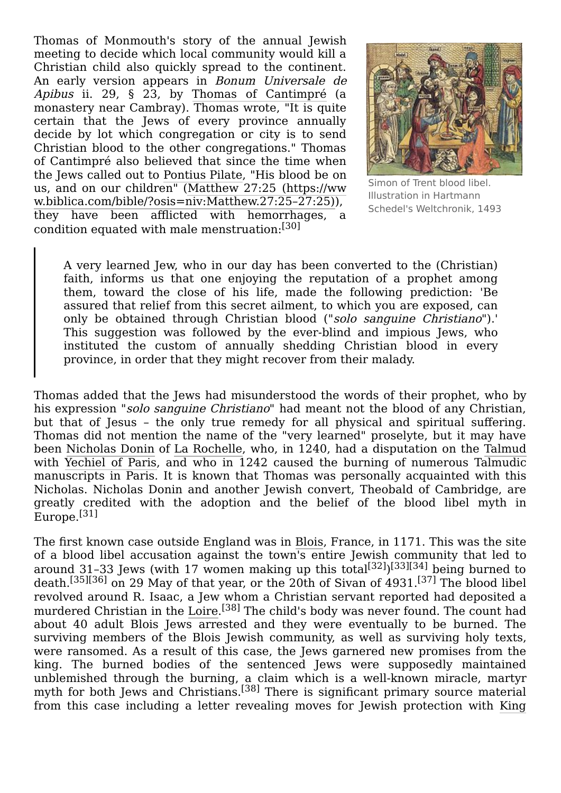Thomas of Monmouth's story of the annual Jewish meeting to decide which local community would kill a Christian child also quickly spread to the continent. An early version appears in Bonum Universale de Apibus ii. 29, § 23, by [Thomas of Cantimpré](https://en.wikipedia.org/wiki/Thomas_of_Cantimpr%C3%A9) (a monastery near Cambray). Thomas wrote, "It is quite certain that the Jews of every province annually decide by lot which congregation or city is to send Christian blood to the other congregations." Thomas of Cantimpré also believed that since the time when the Jews called out to [Pontius Pilate](https://en.wikipedia.org/wiki/Pontius_Pilate), "His blood be on us, and on our children" (Matthew 27:25 (https://ww [w.biblica.com/bible/?osis=niv:Matthew.27:25–27:25\)\),](https://www.biblica.com/bible/?osis=niv:Matthew.27:25%E2%80%9327:25) they have been afflicted with hemorrhages, a condition equated with male menstruation:[\[30\]](#page-16-2)



[Simon](https://en.wikipedia.org/wiki/Simon_of_Trent) of Trent blood libel. Illustration in Hartmann Schedel's Weltchronik, 1493

A very learned Jew, who in our day has been converted to the (Christian) faith, informs us that one enjoying the reputation of a prophet among them, toward the close of his life, made the following prediction: 'Be assured that relief from this secret ailment, to which you are exposed, can only be obtained through Christian blood ("solo sanguine Christiano").' This suggestion was followed by the ever-blind and impious Jews, who instituted the custom of annually shedding Christian blood in every province, in order that they might recover from their malady.

Thomas added that the Jews had misunderstood the words of their prophet, who by his expression "*solo sanguine Christiano*" had meant not the blood of any Christian. but that of Jesus – the only true remedy for all physical and spiritual suffering. Thomas did not mention the name of the "very learned" proselyte, but it may have been [Nicholas Donin](https://en.wikipedia.org/wiki/Nicholas_Donin) of [La Rochelle](https://en.wikipedia.org/wiki/La_Rochelle), who, in 1240, had a disputation on the [Talmud](https://en.wikipedia.org/wiki/Talmud) with [Yechiel of Paris,](https://en.wikipedia.org/wiki/Yechiel_of_Paris) and who in 1242 caused the burning of numerous Talmudic manuscripts in Paris. It is known that Thomas was personally acquainted with this Nicholas. Nicholas Donin and another Jewish convert, Theobald of Cambridge, are greatly credited with the adoption and the belief of the blood libel myth in Europe.<sup>[\[31\]](#page-16-3)</sup>

The first known case outside England was in [Blois](https://en.wikipedia.org/wiki/Blois), France, in 1171. This was the site of a blood libel accusation against the town's entire Jewish community that led to around 31-33 Jews (with 17 women making up this total<sup>[\[32\]](#page-16-4)</sup>)<sup>[\[33\]](#page-16-5)[\[34\]](#page-16-6)</sup> being burned to death.[\[35\]](#page-16-7)[\[36\]](#page-16-8) on 29 May of that year, or the 20th of Sivan of 4931.[\[37\]](#page-16-9) The blood libel revolved around R. Isaac, a Jew whom a Christian servant reported had deposited a murdered Christian in the [Loire.](https://en.wikipedia.org/wiki/Loire)<sup>[\[38\]](#page-16-10)</sup> The child's body was never found. The count had about 40 adult Blois Jews arrested and they were eventually to be burned. The surviving members of the Blois Jewish community, as well as surviving holy texts, were ransomed. As a result of this case, the Jews garnered new promises from the king. The burned bodies of the sentenced Jews were supposedly maintained unblemished through the burning, a claim which is a well-known miracle, martyr myth for both Jews and Christians.<sup>[\[38\]](#page-16-10)</sup> There is significant primary source material [from this case including a letter revealing moves for Jewish](https://en.wikipedia.org/wiki/King_Louis_VII) protection with King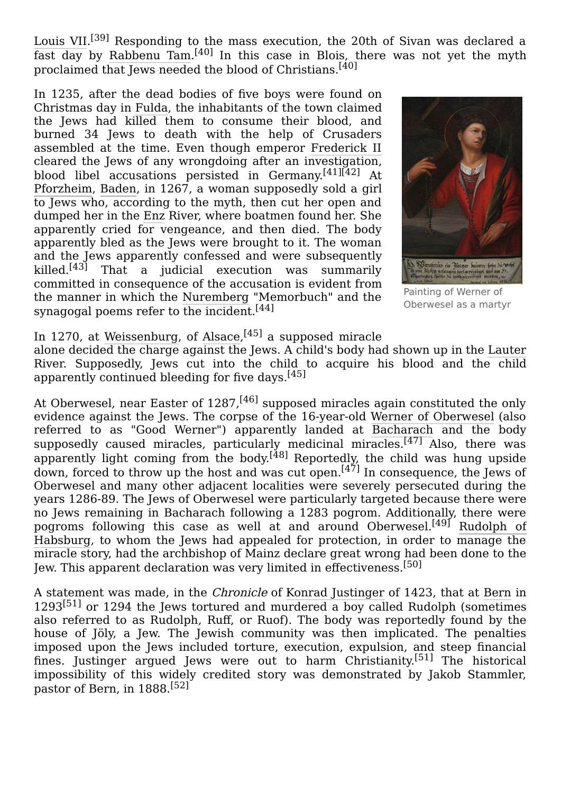Louis VII.<sup>[\[39\]](#page-16-11)</sup> [Responding to the mass execution, the 20th of Sivan was declared a](https://en.wikipedia.org/wiki/King_Louis_VII)  $\overline{\text{fast day}}$  by [Rabbenu Tam.](https://en.wikipedia.org/wiki/Rabbenu_Tam)  $^{[40]}$  $^{[40]}$  $^{[40]}$  In this case in Blois, there was not yet the myth proclaimed that Jews needed the blood of Christians.[\[40\]](#page-16-12)

In 1235, after the dead bodies of five boys were found on Christmas day in [Fulda,](https://en.wikipedia.org/wiki/Fulda) the inhabitants of the town claimed the Jews had killed them to consume their blood, and burned 34 Jews to death with the help of Crusaders assembled at the time. Even though emperor [Frederick II](https://en.wikipedia.org/wiki/Frederick_II,_Holy_Roman_Emperor) cleared the Jews of any wrongdoing after an investigation, blood libel accusations persisted in Germany. [\[41\]](#page-16-13)[\[42\]](#page-16-14) At [Pforzheim,](https://en.wikipedia.org/wiki/Pforzheim) [Baden,](https://en.wikipedia.org/wiki/Baden) in 1267, a woman supposedly sold a girl to Jews who, according to the myth, then cut her open and dumped her in the [Enz](https://en.wikipedia.org/wiki/Enz) River, where boatmen found her. She apparently cried for vengeance, and then died. The body apparently bled as the Jews were brought to it. The woman and the Jews apparently confessed and were subsequently  $killed.<sup>[43]</sup>$  $killed.<sup>[43]</sup>$  $killed.<sup>[43]</sup>$  That a judicial execution was summarily committed in consequence of the accusation is evident from the manner in which the [Nuremberg](https://en.wikipedia.org/wiki/Nuremberg) "Memorbuch" and the synagogal poems refer to the incident.<sup>[\[44\]](#page-16-16)</sup>



Painting of Werner of Oberwesel as a martyr

In 1270, at [Weissenburg](https://en.wikipedia.org/wiki/Wissembourg), of [Alsace,](https://en.wikipedia.org/wiki/Alsace)<sup>[\[45\]](#page-16-17)</sup> a supposed miracle

alone decided the charge against the Jews. A child's body had shown up in the [Lauter](https://en.wikipedia.org/wiki/Lauter_(Rhine)) River. Supposedly, Jews cut into the child to acquire his blood and the child apparently continued bleeding for five days.<sup>[\[45\]](#page-16-17)</sup>

At Oberwesel, near Easter of 1287.<sup>[\[46\]](#page-16-18)</sup> supposed miracles again constituted the only evidence against the Jews. The corpse of the 16-year-old [Werner of Oberwesel](https://en.wikipedia.org/wiki/Werner_of_Oberwesel) (also referred to as "Good Werner") apparently landed at [Bacharach](https://en.wikipedia.org/wiki/Bacharach) and the body supposedly caused miracles, particularly medicinal mir $\overline{\text{acles.}}^{[47]}$  $\overline{\text{acles.}}^{[47]}$  $\overline{\text{acles.}}^{[47]}$  Also, there was apparently light coming from the body.  $[48]$  Reportedly, the child was hung upside down, forced to throw up the host and was cut open.<sup>[\[47\]](#page-16-19)</sup> In consequence, the Jews of Oberwesel and many other adjacent localities were severely persecuted during the years 1286-89. The Jews of Oberwesel were particularly targeted because there were no Jews remaining in Bacharach following a 1283 pogrom. Additionally, there were pogroms following this case as well at and around Oberwesel.<sup>[\[49\]](#page-17-0)</sup> Rudolph of [Habsburg, to whom the Jews had appealed for protection, in order to manage the](https://en.wikipedia.org/wiki/Rudolph_I_of_Germany) miracle story, had the archbishop of Mainz declare great wrong had been done to the Jew. This apparent declaration was very limited in effectiveness.<sup>[\[50\]](#page-17-1)</sup>

A statement was made, in the Chronicle of [Konrad Justinger](https://en.wikipedia.org/wiki/Konrad_Justinger) of 1423, that at [Bern](https://en.wikipedia.org/wiki/Bern) in  $1293^{[51]}$  $1293^{[51]}$  $1293^{[51]}$  or 1294 the Jews tortured and murdered a boy called Rudolph (sometimes also referred to as Rudolph, Ruff, or Ruof). The body was reportedly found by the house of Jöly, a Jew. The Jewish community was then implicated. The penalties imposed upon the Jews included torture, execution, expulsion, and steep financial fines. Justinger argued Jews were out to harm Christianity.<sup>[\[51\]](#page-17-2)</sup> The historical impossibility of this widely credited story was demonstrated by Jakob Stammler, pastor of Bern, in 1888.[\[52\]](#page-17-3)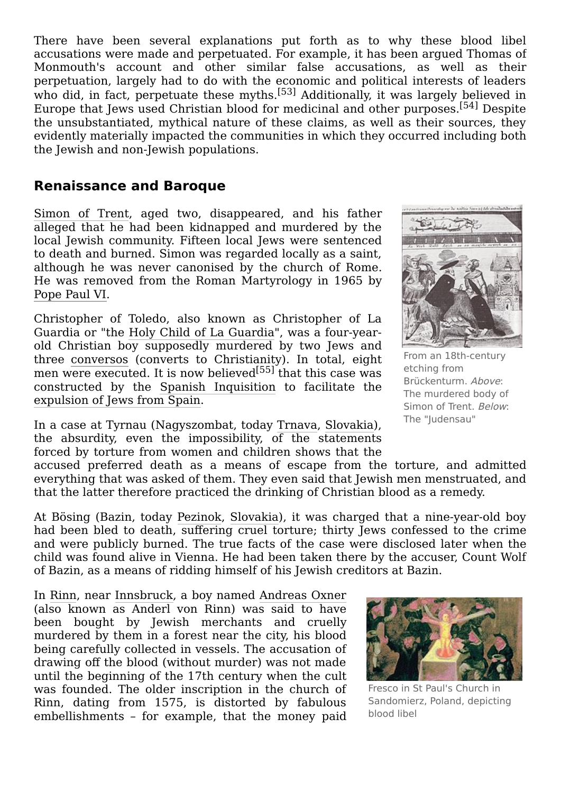There have been several explanations put forth as to why these blood libel accusations were made and perpetuated. For example, it has been argued Thomas of Monmouth's account and other similar false accusations, as well as their perpetuation, largely had to do with the economic and political interests of leaders who did, in fact, perpetuate these myths.<sup>[\[53\]](#page-17-4)</sup> Additionally, it was largely believed in Europe that Jews used Christian blood for medicinal and other purposes.[\[54\]](#page-17-5) Despite the unsubstantiated, mythical nature of these claims, as well as their sources, they evidently materially impacted the communities in which they occurred including both the Jewish and non-Jewish populations.

#### <span id="page-6-0"></span>**Renaissance and Baroque**

[Simon of Trent,](https://en.wikipedia.org/wiki/Simon_of_Trent) aged two, disappeared, and his father alleged that he had been kidnapped and murdered by the local Jewish community. Fifteen local Jews were sentenced to death and burned. Simon was regarded locally as a saint, although he was never canonised by the church of Rome. He was removed from the Roman Martyrology in 1965 by [Pope Paul VI.](https://en.wikipedia.org/wiki/Pope_Paul_VI)

Christopher of Toledo, also known as Christopher of La Guardia or "the [Holy Child of La Guardia](https://en.wikipedia.org/wiki/Holy_Child_of_La_Guardia)", was a four-yearold Christian boy supposedly murdered by two Jews and three [conversos](https://en.wikipedia.org/wiki/Converso) (converts to Christianity). In total, eight men were executed. It is now believed<sup>[\[55\]](#page-17-6)</sup> that this case was constructed by the [Spanish Inquisition](https://en.wikipedia.org/wiki/Spanish_Inquisition) to facilitate the [expulsion of Jews from Spain.](https://en.wikipedia.org/wiki/Alhambra_decree)

In a case at Tyrnau (Nagyszombat, today [Trnava,](https://en.wikipedia.org/wiki/Trnava) [Slovakia\)](https://en.wikipedia.org/wiki/Slovakia), the absurdity, even the impossibility, of the statements forced by torture from women and children shows that the



From an 18th-century etching from Brückenturm. Above: The murdered body of Simon of Trent. Below: The "[Judensau](https://en.wikipedia.org/wiki/Judensau)"

accused preferred death as a means of escape from the torture, and admitted everything that was asked of them. They even said that Jewish men menstruated, and that the latter therefore practiced the drinking of Christian blood as a remedy.

At Bösing (Bazin, today [Pezinok](https://en.wikipedia.org/wiki/Pezinok), [Slovakia\)](https://en.wikipedia.org/wiki/Slovakia), it was charged that a nine-year-old boy had been bled to death, suffering cruel torture; thirty Jews confessed to the crime and were publicly burned. The true facts of the case were disclosed later when the child was found alive in Vienna. He had been taken there by the accuser, Count Wolf of Bazin, as a means of ridding himself of his Jewish creditors at Bazin.

In [Rinn](https://en.wikipedia.org/wiki/Rinn), near [Innsbruck,](https://en.wikipedia.org/wiki/Innsbruck) a boy named [Andreas Oxner](https://en.wikipedia.org/wiki/Andreas_Oxner) (also known as Anderl von Rinn) was said to have been bought by Jewish merchants and cruelly murdered by them in a forest near the city, his blood being carefully collected in vessels. The accusation of drawing off the blood (without murder) was not made until the beginning of the 17th century when the cult was founded. The older inscription in the church of Rinn, dating from 1575, is distorted by fabulous embellishments – for example, that the money paid



[Fresco](https://en.wikipedia.org/wiki/Fresco) in St Paul's Church in [Sandomierz](https://en.wikipedia.org/wiki/Sandomierz), Poland, depicting blood libel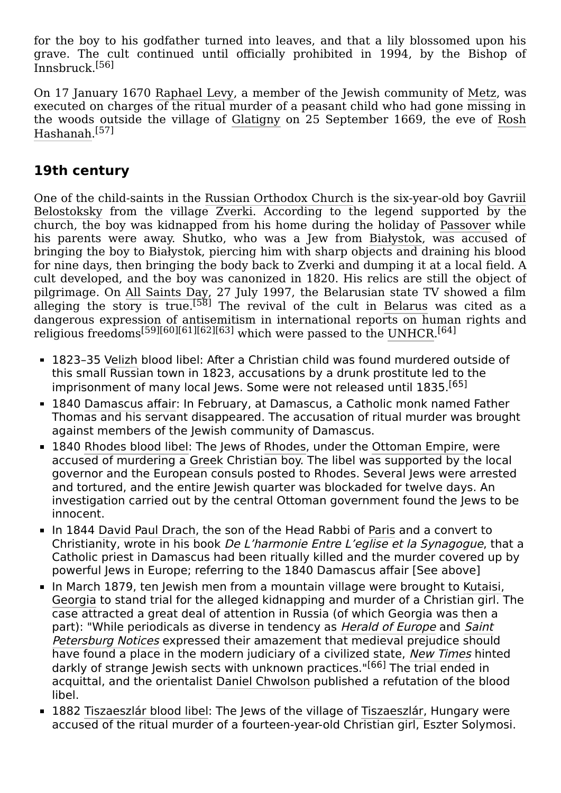for the boy to his godfather turned into leaves, and that a lily blossomed upon his grave. The cult continued until officially prohibited in 1994, by the Bishop of Innsbruck.[\[56\]](#page-17-7)

On 17 January 1670 [Raphael Levy,](https://en.wikipedia.org/wiki/Raphael_Levy) a member of the Jewish community of [Metz,](https://en.wikipedia.org/wiki/Metz) was executed on charges of the ritual murder of a peasant child who had gone missing in [the woods outside the village of](https://en.wikipedia.org/wiki/Rosh_Hashanah) [Glatigny](https://en.wikipedia.org/wiki/Glatigny,_Moselle) on 25 September 1669, the eve of Rosh Hashanah. [\[57\]](#page-17-8)

#### <span id="page-7-0"></span>**19th century**

One of the child-saints in the [Russian Orthodox Church](https://en.wikipedia.org/wiki/Russian_Orthodox_Church) is the six-year-old boy Gavriil Belostoksky [from the village Zverki. According to the legend supported by the](https://en.wikipedia.org/wiki/Gavriil_Belostoksky) church, the boy was kidnapped from his home during the holiday of [Passover](https://en.wikipedia.org/wiki/Passover) while his parents were away. Shutko, who was a Jew from [Białystok,](https://en.wikipedia.org/wiki/Bia%C5%82ystok) was accused of bringing the boy to Białystok, piercing him with sharp objects and draining his blood for nine days, then bringing the body back to Zverki and dumping it at a local field. A cult developed, and the boy was canonized in 1820. His relics are still the object of pilgrimage. On [All Saints Day,](https://en.wikipedia.org/wiki/All_Saints_Day) 27 July 1997, the Belarusian state TV showed a film alleging the story is true.<sup>[\[58\]](#page-17-9)</sup> The revival of the cult in [Belarus](https://en.wikipedia.org/wiki/Belarus) was cited as a dangerous expression of antisemitism in international reports on human rights and religious freedoms<sup>[\[59\]](#page-17-10)[\[60\]](#page-17-11)[\[61\]](#page-17-12)[\[62\]](#page-17-13)[\[63\]](#page-17-14)</sup> which were passed to the [UNHCR.](https://en.wikipedia.org/wiki/UNHCR)<sup>[\[64\]](#page-17-15)</sup>

- 1823–35 [Velizh](https://en.wikipedia.org/wiki/Velizh) blood libel: After a Christian child was found murdered outside of this small Russian town in 1823, accusations by a drunk prostitute led to the imprisonment of many local lews. Some were not released until 1835.<sup>[\[65\]](#page-18-0)</sup>
- 1840 [Damascus affair](https://en.wikipedia.org/wiki/Damascus_affair): In February, at Damascus, a Catholic monk named Father Thomas and his servant disappeared. The accusation of ritual murder was brought against members of the Jewish community of Damascus.
- 1840 [Rhodes blood libel](https://en.wikipedia.org/wiki/Rhodes_blood_libel): The Jews of [Rhodes,](https://en.wikipedia.org/wiki/Rhodes) under the [Ottoman Empire,](https://en.wikipedia.org/wiki/Ottoman_Empire) were accused of murdering a [Greek](https://en.wikipedia.org/wiki/Greeks) Christian boy. The libel was supported by the local governor and the European consuls posted to Rhodes. Several Jews were arrested and tortured, and the entire Jewish quarter was blockaded for twelve days. An investigation carried out by the central Ottoman government found the Jews to be innocent.
- In 1844 [David Paul Drach,](https://en.wikipedia.org/wiki/David_Paul_Drach) the son of the Head Rabbi of [Paris](https://en.wikipedia.org/wiki/Paris) and a convert to Christianity, wrote in his book De L'harmonie Entre L'eglise et la Synagogue, that a Catholic priest in Damascus had been ritually killed and the murder covered up by powerful Jews in Europe; referring to the 1840 Damascus affair [See above]
- In March 1879, ten Jewish men from a mountain village were brought to [Kutaisi,](https://en.wikipedia.org/wiki/Kutaisi) [Georgia](https://en.wikipedia.org/wiki/Georgia_(country)) to stand trial for the alleged kidnapping and murder of a Christian girl. The case attracted a great deal of attention in Russia (of which Georgia was then a part): "While periodicals as diverse in tendency as [Herald of Europe](https://en.wikipedia.org/wiki/Vestnik_Evropy) and Saint Petersburg Notices [expressed their amazement that medieval prejudice should](https://en.wikipedia.org/wiki/Sankt-Peterburgskie_Vedomosti) have found a place in the modern judiciary of a civilized state, [New Times](https://en.wikipedia.org/wiki/Novoye_Vremya_(newspaper)) hinted darkly of strange Jewish sects with unknown practices."<sup>[\[66\]](#page-18-1)</sup> The trial ended in acquittal, and the orientalist [Daniel Chwolson](https://en.wikipedia.org/wiki/Daniel_Chwolson) published a refutation of the blood libel.
- **1882 [Tiszaeszlár blood libel](https://en.wikipedia.org/wiki/Tiszaeszl%C3%A1r_affair): The Jews of the village of [Tiszaeszlár](https://en.wikipedia.org/wiki/Tiszaeszl%C3%A1r), Hungary were** accused of the ritual murder of a fourteen-year-old Christian girl, Eszter Solymosi.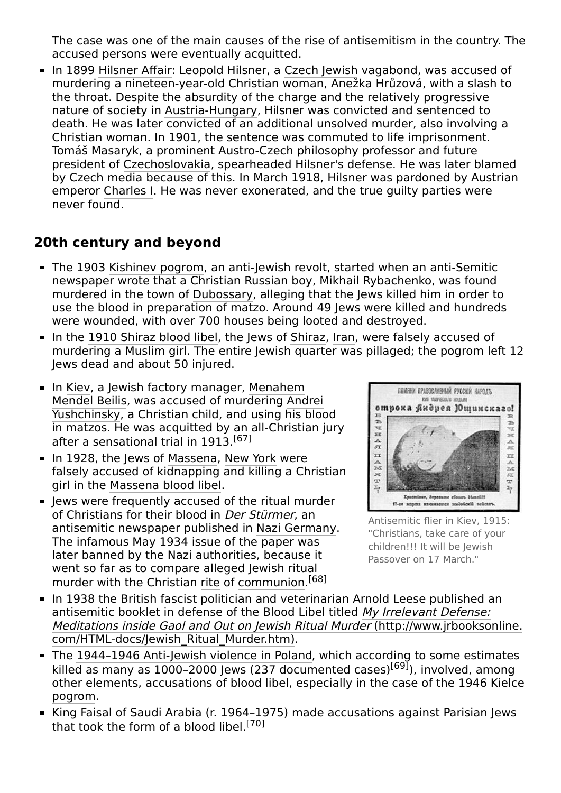The case was one of the main causes of the rise of antisemitism in the country. The accused persons were eventually acquitted.

In 1899 [Hilsner Affair](https://en.wikipedia.org/wiki/Hilsner_Affair): Leopold Hilsner, a [Czech Jewish](https://en.wikipedia.org/wiki/Czech_Jewish) vagabond, was accused of murdering a nineteen-year-old Christian woman, Anežka Hrůzová, with a slash to the throat. Despite the absurdity of the charge and the relatively progressive nature of society in [Austria-Hungary](https://en.wikipedia.org/wiki/Austria-Hungary), Hilsner was convicted and sentenced to death. He was later convicted of an additional unsolved murder, also involving a Christian woman. In 1901, the sentence was commuted to life imprisonment. [Tomáš Masaryk](https://en.wikipedia.org/wiki/Tom%C3%A1%C5%A1_Masaryk), a prominent Austro-Czech philosophy professor and future president of [Czechoslovakia,](https://en.wikipedia.org/wiki/Czechoslovakia) spearheaded Hilsner's defense. He was later blamed by Czech media because of this. In March 1918, Hilsner was pardoned by Austrian emperor [Charles I.](https://en.wikipedia.org/wiki/Karl_of_Austria) He was never exonerated, and the true guilty parties were never found.

#### <span id="page-8-0"></span>**20th century and beyond**

- The 1903 [Kishinev pogrom](https://en.wikipedia.org/wiki/Kishinev_pogrom), an anti-Jewish revolt, started when an anti-Semitic newspaper wrote that a Christian Russian boy, Mikhail Rybachenko, was found murdered in the town of [Dubossary,](https://en.wikipedia.org/wiki/Dub%C4%83sari) alleging that the Jews killed him in order to use the blood in preparation of matzo. Around 49 Jews were killed and hundreds were wounded, with over 700 houses being looted and destroyed.
- In the [1910 Shiraz blood libel](https://en.wikipedia.org/wiki/1910_Shiraz_blood_libel), the Jews of [Shiraz,](https://en.wikipedia.org/wiki/Shiraz) [Iran,](https://en.wikipedia.org/wiki/Iran) were falsely accused of murdering a Muslim girl. The entire Jewish quarter was pillaged; the pogrom left 12 Jews dead and about 50 injured.
- **[In K](https://en.wikipedia.org/wiki/Menahem_Mendel_Beilis)[iev](https://en.wikipedia.org/wiki/Kiev)[, a Jewish factory manager, Menahem](https://en.wikipedia.org/wiki/Menahem_Mendel_Beilis)** Mendel Beilis, was accused of murdering Andrei [Yushchinsky, a Christian child, and using his bloo](https://en.wikipedia.org/wiki/Andrei_Yushchinsky)d in [matzos](https://en.wikipedia.org/wiki/Matzo). He was acquitted by an all-Christian jury after a sensational trial in 1913.<sup>[\[67\]](#page-18-2)</sup>
- In 1928, the Jews of [Massena](https://en.wikipedia.org/wiki/Massena_(village),_New_York), [New York](https://en.wikipedia.org/wiki/New_York_(state)) were falsely accused of kidnapping and killing a Christian girl in the [Massena blood libel](https://en.wikipedia.org/wiki/Massena_blood_libel).
- **If** lews were frequently accused of the ritual murder of Christians for their blood in [Der Stürmer](https://en.wikipedia.org/wiki/Der_St%C3%BCrmer), an antisemitic newspaper published in [Nazi Germany](https://en.wikipedia.org/wiki/Nazi_Germany). The infamous May 1934 issue of the paper was later banned by the Nazi authorities, because it went so far as to compare alleged Jewish ritual murder with the Christian [rite](https://en.wikipedia.org/wiki/Rite) of [communion](https://en.wikipedia.org/wiki/Eucharist). [\[68\]](#page-18-3)



Antisemitic flier in [Kiev](https://en.wikipedia.org/wiki/Kiev), 1915: "Christians, take care of your children!!! It will be Jewish Passover on 17 March."

- In 1938 the British fascist politician and veterinarian [Arnold Leese](https://en.wikipedia.org/wiki/Arnold_Leese) published an antisemitic booklet in defense of the Blood Libel titled My Irrelevant Defense: [Meditations inside Gaol and Out on Jewish Ritual Murder](http://www.jrbooksonline.com/HTML-docs/Jewish_Ritual_Murder.htm) (http://www.jrbooksonline. com/HTML-docs/Jewish\_Ritual\_Murder.htm).
- The [1944–1946 Anti-Jewish violence in Poland,](https://en.wikipedia.org/wiki/Anti-Jewish_violence_in_Poland,_1944%E2%80%9346#Number_of_victims) which according to some estimates killed as many as  $1000$ –2000 Jews (237 documented cases)<sup>[\[69\]](#page-18-4)</sup>), involved, among [other elements, accusations of blood libel, especially in the case of the 1946 Kielce](https://en.wikipedia.org/wiki/Kielce_pogrom) pogrom.
- [King Faisal](https://en.wikipedia.org/wiki/Faisal_of_Saudi_Arabia) of [Saudi Arabia](https://en.wikipedia.org/wiki/Saudi_Arabia) (r. 1964–1975) made accusations against Parisian Jews that took the form of a blood libel.<sup>[\[70\]](#page-18-5)</sup>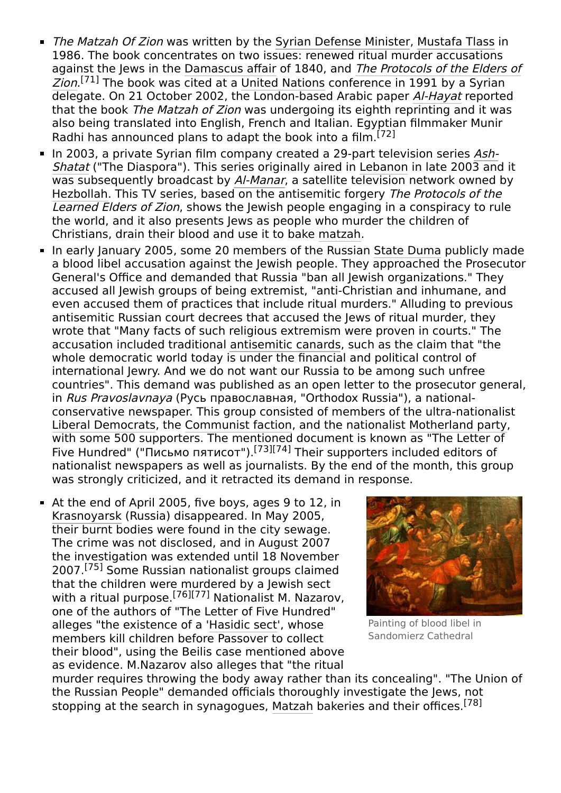- The Matzah Of Zion was written by the [Syrian Defense Minister](https://en.wikipedia.org/wiki/Syrian_Ministry_of_Defense), [Mustafa Tlass](https://en.wikipedia.org/wiki/Mustafa_Tlass) in 1986. The book concentrates on two issues: renewed ritual murder accusations against the Jews in the [Damascus affair](https://en.wikipedia.org/wiki/Damascus_affair) of 1840, and The Protocols of the Elders of Zion.<sup>[\[71\]](#page-18-6)</sup> [The book was cited at a United Nations conference in 1991 by a Syrian](https://en.wikipedia.org/wiki/The_Protocols_of_the_Elders_of_Zion) delegate. On 21 October 2002, the London-based Arabic paper [Al-Hayat](https://en.wikipedia.org/wiki/Al-Hayat) reported that the book The Matzah of Zion was undergoing its eighth reprinting and it was also being translated into English, French and Italian. Egyptian filmmaker Munir Radhi has announced plans to adapt the book into a film.<sup>[\[72\]](#page-18-7)</sup>
- [In 2003, a private Syrian film company created a 29-part television series](https://en.wikipedia.org/wiki/Ash-Shatat) Ash-Shatat ("The Diaspora"). This series originally aired in [Lebanon](https://en.wikipedia.org/wiki/Lebanon) in late 2003 and it was subsequently broadcast by [Al-Manar](https://en.wikipedia.org/wiki/Al-Manar), a satellite television network owned by [Hezbollah.](https://en.wikipedia.org/wiki/Hezbollah) This TV series, based on the antisemitic forgery The Protocols of the Learned Elders of Zion, shows the Jewish people engaging in a conspiracy to rule the world, and it also presents Jews as people who murder the children of Christians, drain their blood and use it to bake [matzah](https://en.wikipedia.org/wiki/Matzah).
- In early January 2005, some 20 members of the Russian [State Duma](https://en.wikipedia.org/wiki/State_Duma) publicly made a blood libel accusation against the Jewish people. They approached the Prosecutor General's Office and demanded that Russia "ban all Jewish organizations." They accused all Jewish groups of being extremist, "anti-Christian and inhumane, and even accused them of practices that include ritual murders." Alluding to previous antisemitic Russian court decrees that accused the Jews of ritual murder, they wrote that "Many facts of such religious extremism were proven in courts." The accusation included traditional [antisemitic canards,](https://en.wikipedia.org/wiki/Antisemitic_canards) such as the claim that "the whole democratic world today is under the financial and political control of international Jewry. And we do not want our Russia to be among such unfree countries". This demand was published as an open letter to the prosecutor general, in Rus Pravoslavnaya (Русь православная, "Orthodox Russia"), a nationalconservative newspaper. This group consisted of members of the ultra-nationalist [Liberal Democrats](https://en.wikipedia.org/wiki/Liberal_Democratic_Party_of_Russia), the [Communist faction,](https://en.wikipedia.org/wiki/Communist_Party_of_the_Russian_Federation) and the nationalist [Motherland party](https://en.wikipedia.org/wiki/Motherland_(Russia)), with some 500 supporters. The mentioned document is known as "The Letter of Five Hundred" ("Письмо пятисот").<sup>[\[73\]](#page-18-8)[\[74\]](#page-18-9)</sup> Their supporters included editors of nationalist newspapers as well as journalists. By the end of the month, this group was strongly criticized, and it retracted its demand in response.
- At the end of April 2005, five boys, ages 9 to 12, in [Krasnoyarsk](https://en.wikipedia.org/wiki/Krasnoyarsk) (Russia) disappeared. In May 2005, their burnt bodies were found in the city sewage. The crime was not disclosed, and in August 2007 the investigation was extended until 18 November 2007.[\[75\]](#page-18-10) Some Russian nationalist groups claimed that the children were murdered by a Jewish sect with a ritual purpose.<sup>[\[76\]](#page-18-11)[\[77\]](#page-18-12)</sup> Nationalist M. Nazarov, one of the authors of "The Letter of Five Hundred" alleges "the existence of a '[Hasidic sect](https://en.wikipedia.org/wiki/Hasidic_Judaism)', whose members kill children before Passover to collect their blood", using the Beilis case mentioned above as evidence. M.Nazarov also alleges that "the ritual



Painting of blood libel in Sandomierz Cathedral

murder requires throwing the body away rather than its concealing". "The Union of the Russian People" demanded officials thoroughly investigate the Jews, not stopping at the search in synagogues, [Matzah](https://en.wikipedia.org/wiki/Matzo) bakeries and their offices.<sup>[\[78\]](#page-18-13)</sup>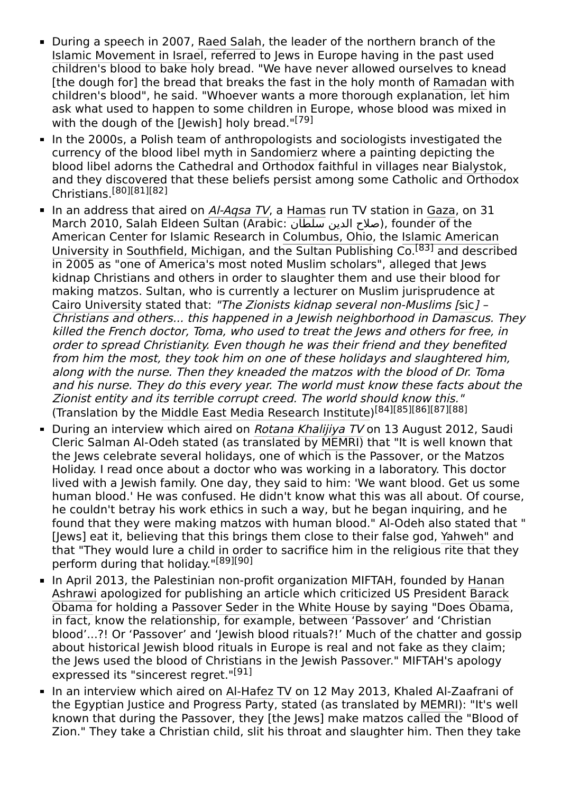- During a speech in 2007, [Raed Salah,](https://en.wikipedia.org/wiki/Raed_Salah) the leader of the northern branch of the [Islamic Movement in Israel](https://en.wikipedia.org/wiki/Islamic_Movement_in_Israel), referred to Jews in Europe having in the past used children's blood to bake holy bread. "We have never allowed ourselves to knead [the dough for] the bread that breaks the fast in the holy month of [Ramadan](https://en.wikipedia.org/wiki/Ramadan) with children's blood", he said. "Whoever wants a more thorough explanation, let him ask what used to happen to some children in Europe, whose blood was mixed in with the dough of the [Jewish] holy bread."<sup>[\[79\]](#page-18-14)</sup>
- In the 2000s, a Polish team of anthropologists and sociologists investigated the currency of the blood libel myth in [Sandomierz](https://en.wikipedia.org/wiki/Sandomierz) where a painting depicting the blood libel adorns the Cathedral and Orthodox faithful in villages near [Bialystok](https://en.wikipedia.org/wiki/Bialystok), and they discovered that these beliefs persist among some Catholic and Orthodox Christians.[\[80\]](#page-18-15)[\[81\]](#page-18-16)[\[82\]](#page-19-0)
- In an address that aired on  $A/Agsa TV$ , a [Hamas](https://en.wikipedia.org/wiki/Hamas) run TV station in [Gaza](https://en.wikipedia.org/wiki/Gaza_City), on 31 March 2010, Salah Eldeen Sultan (Arabic: صلاح الدين سلطان), founder of the [American Center for Islamic Research in](https://en.wikipedia.org/wiki/Islamic_American_University) [Columbus, Ohi](https://en.wikipedia.org/wiki/Columbus,_Ohio)[o, the Islamic American](https://en.wikipedia.org/wiki/Islamic_American_University) University in [Southfield, Michigan,](https://en.wikipedia.org/wiki/Southfield,_Michigan) and the Sultan Publishing Co.<sup>[\[83\]](#page-19-1)</sup> and described in 2005 as "one of America's most noted Muslim scholars", alleged that Jews kidnap Christians and others in order to slaughter them and use their blood for making matzos. Sultan, who is currently a lecturer on Muslim jurisprudence at [Cairo University](https://en.wikipedia.org/wiki/Cairo_University) stated that: "The Zionists kidnap several non-Muslims [[sic](https://en.wikipedia.org/wiki/Sic)] -Christians and others... this happened in a Jewish neighborhood in Damascus. They killed the French doctor, Toma, who used to treat the Jews and others for free, in order to spread Christianity. Even though he was their friend and they benefited from him the most, they took him on one of these holidays and slaughtered him, along with the nurse. Then they kneaded the matzos with the blood of Dr. Toma and his nurse. They do this every year. The world must know these facts about the Zionist entity and its terrible corrupt creed. The world should know this." (Translation by the [Middle East Media Research Institute\)](https://en.wikipedia.org/wiki/Middle_East_Media_Research_Institute) [\[84\]](#page-19-2)[\[85\]](#page-19-3)[\[86\]](#page-19-4)[\[87\]](#page-19-5)[\[88\]](#page-19-6)
- During an interview which aired on [Rotana Khalijiya TV](https://en.wikipedia.org/wiki/Rotana_(television)) on 13 August 2012, Saudi Cleric Salman Al-Odeh stated (as translated by [MEMRI](https://en.wikipedia.org/wiki/MEMRI)) that "It is well known that the Jews celebrate several holidays, one of which is the Passover, or the Matzos Holiday. I read once about a doctor who was working in a laboratory. This doctor lived with a Jewish family. One day, they said to him: 'We want blood. Get us some human blood.' He was confused. He didn't know what this was all about. Of course, he couldn't betray his work ethics in such a way, but he began inquiring, and he found that they were making matzos with human blood." Al-Odeh also stated that " [Jews] eat it, believing that this brings them close to their false god, [Yahweh"](https://en.wikipedia.org/wiki/Yahweh) and that "They would lure a child in order to sacrifice him in the religious rite that they perform during that holiday."[\[89\]](#page-19-7)[\[90\]](#page-19-8)
- In April 2013, the Palestinian non-profit organization MIFTAH, founded by Hanan [Ashrawi apologized for publishing an article which criticized US President Barac](https://en.wikipedia.org/wiki/Hanan_Ashrawi)[k](https://en.wikipedia.org/wiki/Barack_Obama) Obama for holding a [Passover Seder](https://en.wikipedia.org/wiki/Passover_Seder) in the [White House](https://en.wikipedia.org/wiki/White_House) by saying "Does Obama, in fact, know the relationship, for example, between 'Passover' and 'Christian blood'...?! Or 'Passover' and 'Jewish blood rituals?!' Much of the chatter and gossip about historical Jewish blood rituals in Europe is real and not fake as they claim; the Jews used the blood of Christians in the Jewish Passover." MIFTAH's apology expressed its "sincerest regret."<sup>[\[91\]](#page-19-9)</sup>
- In an interview which aired on [Al-Hafez TV](https://en.wikipedia.org/wiki/Al-Hafez) on 12 May 2013, Khaled Al-Zaafrani of the Egyptian Justice and Progress Party, stated (as translated by [MEMRI](https://en.wikipedia.org/wiki/MEMRI)): "It's well known that during the Passover, they [the Jews] make matzos called the "Blood of Zion." They take a Christian child, slit his throat and slaughter him. Then they take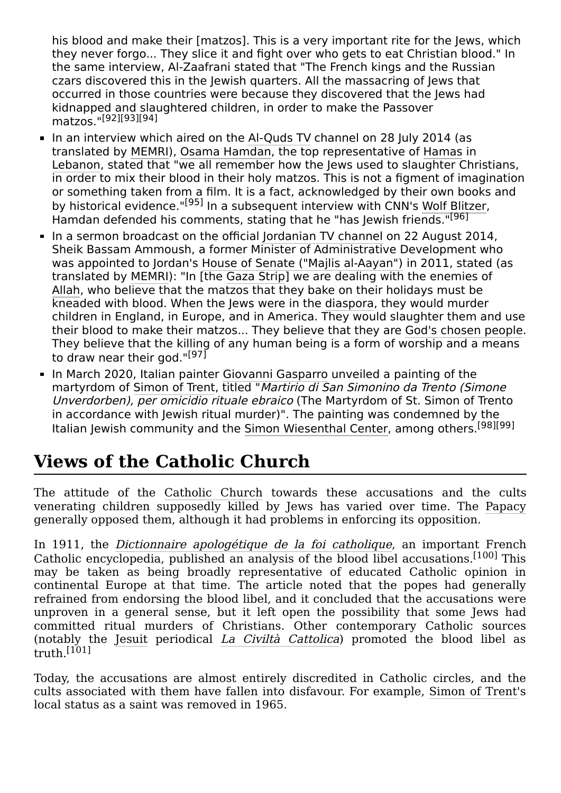his blood and make their [matzos]. This is a very important rite for the Jews, which they never forgo... They slice it and fight over who gets to eat Christian blood." In the same interview, Al-Zaafrani stated that "The French kings and the Russian czars discovered this in the Jewish quarters. All the massacring of Jews that occurred in those countries were because they discovered that the Jews had kidnapped and slaughtered children, in order to make the Passover matzos<sup>.</sup> "[\[92\]](#page-19-10)[\[93\]](#page-19-11)[\[94\]](#page-19-12)

- In an interview which aired on the [Al-Quds TV](https://en.wikipedia.org/wiki/Al-Quds_TV) channel on 28 July 2014 (as translated by [MEMRI](https://en.wikipedia.org/wiki/MEMRI)), [Osama Hamdan,](https://en.wikipedia.org/wiki/Osama_Hamdan) the top representative of [Hamas](https://en.wikipedia.org/wiki/Hamas) in [Lebanon,](https://en.wikipedia.org/wiki/Lebanon) stated that "we all remember how the Jews used to slaughter Christians, in order to mix their blood in their holy matzos. This is not a figment of imagination or something taken from a film. It is a fact, acknowledged by their own books and by historical evidence."<sup>[\[95\]](#page-19-13)</sup> In a subsequent interview with CNN's [Wolf Blitzer](https://en.wikipedia.org/wiki/Wolf_Blitzer), Hamdan defended his comments, stating that he "has lewish friends."<sup>[\[96\]](#page-20-0)</sup>
- In a sermon broadcast on the official [Jordanian TV channel](https://en.wikipedia.org/wiki/Jordan_Radio_and_Television_Corporation) on 22 August 2014, Sheik Bassam Ammoush, a former Minister of Administrative Development who was appointed to Jordan's [House of Senate \("Majlis al-Aayan"\)](https://en.wikipedia.org/wiki/Parliament_of_Jordan) in 2011, stated (as translated by [MEMRI](https://en.wikipedia.org/wiki/MEMRI)): "In [the [Gaza Strip](https://en.wikipedia.org/wiki/Gaza_Strip)] we are dealing with the enemies of [Allah](https://en.wikipedia.org/wiki/Allah), who believe that the matzos that they bake on their holidays must be kneaded with blood. When the Jews were in the [diaspora,](https://en.wikipedia.org/wiki/Jewish_diaspora) they would murder children in England, in Europe, and in America. They would slaughter them and use their blood to make their matzos... They believe that they are [God's chosen people](https://en.wikipedia.org/wiki/Jews_as_the_chosen_people). They believe that the killing of any human being is a form of worship and a means to draw near their god."<sup>[\[97\]](#page-20-1)</sup>
- In March 2020, Italian painter [Giovanni Gasparro](https://en.wikipedia.org/w/index.php?title=Giovanni_Gasparro&action=edit&redlink=1) unveiled a painting of the martyrdom of [Simon of Trent](https://en.wikipedia.org/wiki/Simon_of_Trent), titled "Martirio di San Simonino da Trento (Simone Unverdorben), per omicidio rituale ebraico (The Martyrdom of St. Simon of Trento in accordance with Jewish ritual murder)". The painting was condemned by the Italian Jewish community and the [Simon Wiesenthal Center,](https://en.wikipedia.org/wiki/Simon_Wiesenthal_Center) among others.[\[98\]](#page-20-2)[\[99\]](#page-20-3)

## <span id="page-11-0"></span>**Views of the Catholic Church**

The attitude of the [Catholic Church](https://en.wikipedia.org/wiki/Catholic_Church) towards these accusations and the cults venerating children supposedly killed by Jews has varied over time. The [Papacy](https://en.wikipedia.org/wiki/Pope) generally opposed them, although it had problems in enforcing its opposition.

In 1911, the *[Dictionnaire apologétique de la foi catholique](https://en.wikipedia.org/w/index.php?title=Dictionnaire_apolog%C3%A9tique_de_la_foi_catholique&action=edit&redlink=1)*, an important French Catholic encyclopedia, published an analysis of the blood libel accusations.<sup>[\[100\]](#page-20-4)</sup> This may be taken as being broadly representative of educated Catholic opinion in continental Europe at that time. The article noted that the popes had generally refrained from endorsing the blood libel, and it concluded that the accusations were unproven in a general sense, but it left open the possibility that some Jews had committed ritual murders of Christians. Other contemporary Catholic sources (notably the [Jesuit](https://en.wikipedia.org/wiki/Society_of_Jesus) periodical [La Civiltà Cattolica](https://en.wikipedia.org/wiki/La_Civilt%C3%A0_Cattolica)) promoted the blood libel as  $truth<sub>.</sub>[101]$  $truth<sub>.</sub>[101]$ 

Today, the accusations are almost entirely discredited in Catholic circles, and the cults associated with them have fallen into disfavour. For example, [Simon of Trent](https://en.wikipedia.org/wiki/Simon_of_Trent)'s local status as a saint was removed in 1965.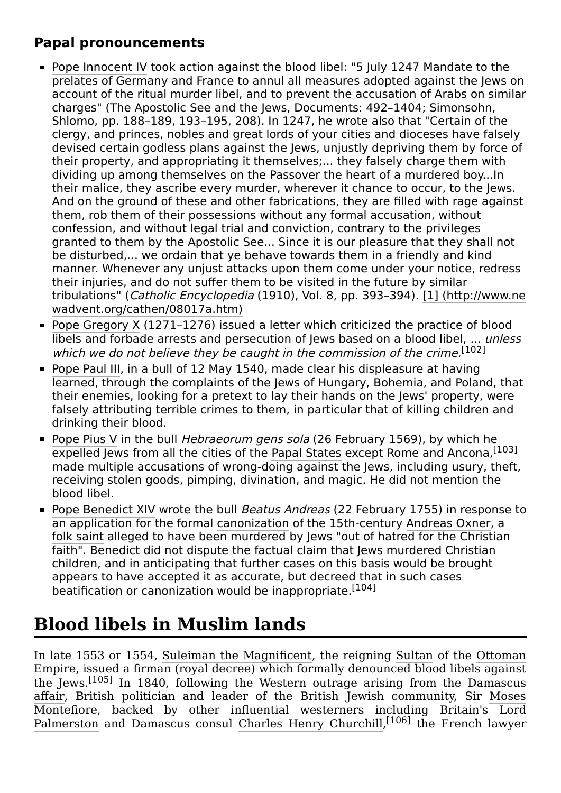### <span id="page-12-0"></span>**Papal pronouncements**

- [Pope Innocent IV](https://en.wikipedia.org/wiki/Pope_Innocent_IV) took action against the blood libel: "5 July 1247 Mandate to the prelates of Germany and France to annul all measures adopted against the Jews on account of the ritual murder libel, and to prevent the accusation of Arabs on similar charges" (The Apostolic See and the Jews, Documents: 492–1404; Simonsohn, Shlomo, pp. 188–189, 193–195, 208). In 1247, he wrote also that "Certain of the clergy, and princes, nobles and great lords of your cities and dioceses have falsely devised certain godless plans against the Jews, unjustly depriving them by force of their property, and appropriating it themselves;... they falsely charge them with dividing up among themselves on the Passover the heart of a murdered boy...In their malice, they ascribe every murder, wherever it chance to occur, to the Jews. And on the ground of these and other fabrications, they are filled with rage against them, rob them of their possessions without any formal accusation, without confession, and without legal trial and conviction, contrary to the privileges granted to them by the Apostolic See... Since it is our pleasure that they shall not be disturbed,... we ordain that ye behave towards them in a friendly and kind manner. Whenever any unjust attacks upon them come under your notice, redress their injuries, and do not suffer them to be visited in the future by similar tribulations" (Catholic Encyclopedia [\(1910\), Vol. 8, pp. 393–394\). \[1\] \(http://www.ne](http://www.newadvent.org/cathen/08017a.htm) wadvent.org/cathen/08017a.htm)
- [Pope Gregory X](https://en.wikipedia.org/wiki/Pope_Gregory_X) (1271–1276) issued a letter which criticized the practice of blood libels and forbade arrests and persecution of lews based on a blood libel, ... unless which we do not believe they be caught in the commission of the crime.<sup>[\[102\]](#page-20-6)</sup>
- [Pope Paul III,](https://en.wikipedia.org/wiki/Pope_Paul_III) in a bull of 12 May 1540, made clear his displeasure at having learned, through the complaints of the Jews of Hungary, Bohemia, and Poland, that their enemies, looking for a pretext to lay their hands on the Jews' property, were falsely attributing terrible crimes to them, in particular that of killing children and drinking their blood.
- [Pope Pius V](https://en.wikipedia.org/wiki/Pope_Pius_V) in the bull *Hebraeorum gens sola* (26 February 1569), by which he expelled Jews from all the cities of the [Papal States](https://en.wikipedia.org/wiki/Papal_States) except Rome and Ancona, [\[103\]](#page-20-7) made multiple accusations of wrong-doing against the Jews, including usury, theft, receiving stolen goods, pimping, divination, and magic. He did not mention the blood libel.
- [Pope Benedict XIV](https://en.wikipedia.org/wiki/Pope_Benedict_XIV) wrote the bull Beatus Andreas (22 February 1755) in response to an application for the formal [canonization](https://en.wikipedia.org/wiki/Canonization) of the 15th-century [Andreas Oxner,](https://en.wikipedia.org/wiki/Andreas_Oxner) a [folk saint](https://en.wikipedia.org/wiki/Folk_saint) alleged to have been murdered by Jews "out of hatred for the Christian faith". Benedict did not dispute the factual claim that Jews murdered Christian children, and in anticipating that further cases on this basis would be brought appears to have accepted it as accurate, but decreed that in such cases beatification or canonization would be inappropriate.<sup>[\[104\]](#page-20-8)</sup>

## <span id="page-12-1"></span>**Blood libels in Muslim lands**

In late 1553 or 1554, [Suleiman the Magnificent](https://en.wikipedia.org/wiki/Suleiman_the_Magnificent), the reigning [Sultan](https://en.wikipedia.org/wiki/Sultan) of the Ottoman Empire, issued a [firman](https://en.wikipedia.org/wiki/Firman_(decree)) [\(royal decree\) which formally denounced blood libels against](https://en.wikipedia.org/wiki/Ottoman_Empire) the Jews.<sup>[\[105\]](#page-20-9)</sup> In  $\overline{1840}$ , following the Western outrage arising from the Damascus affair, British politician and leader of the British Jewish community, Sir Moses [Montefiore, backed by other influential westerners including Britain's Lor](https://en.wikipedia.org/wiki/Moses_Montefiore)[d](https://en.wikipedia.org/wiki/Henry_Temple,_3rd_Viscount_Palmerston) Palmerston and Damascus consul [Charles Henry Churchill,](https://en.wikipedia.org/wiki/Charles_Henry_Churchill)  $^{[106]}$  $^{[106]}$  $^{[106]}$  the French lawyer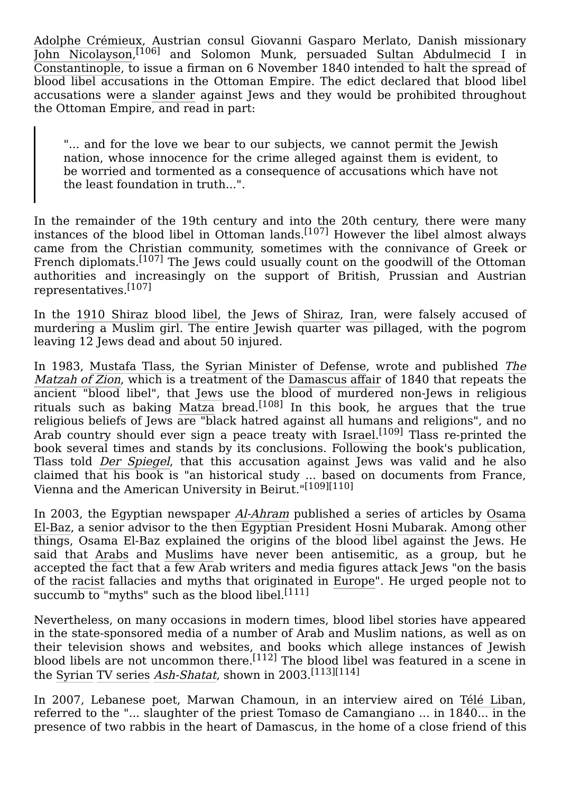[Adolphe Crémieux,](https://en.wikipedia.org/wiki/Isaac_Mo%C3%AFse_Cr%C3%A9mieux) Austrian consul Giovanni Gasparo Merlato, Danish missionary [John Nicolayson](https://en.wikipedia.org/wiki/John_Nicolayson), [\[106\]](#page-20-10) and Solomon Munk, persuaded [Sultan](https://en.wikipedia.org/wiki/Sultan) [Abdulmecid I](https://en.wikipedia.org/wiki/Abdulmecid_I) in [Constantinople](https://en.wikipedia.org/wiki/Constantinople), to issue a firman on 6 November 1840 intended to halt the spread of blood libel accusations in the Ottoman Empire. The edict declared that blood libel accusations were a [slander](https://en.wikipedia.org/wiki/Slander) against Jews and they would be prohibited throughout the Ottoman Empire, and read in part:

"... and for the love we bear to our subjects, we cannot permit the Jewish nation, whose innocence for the crime alleged against them is evident, to be worried and tormented as a consequence of accusations which have not the least foundation in truth...".

In the remainder of the 19th century and into the 20th century, there were many instances of the blood libel in Ottoman lands.<sup>[\[107\]](#page-20-11)</sup> However the libel almost always came from the Christian community, sometimes with the connivance of Greek or French diplomats.<sup>[\[107\]](#page-20-11)</sup> The Jews could usually count on the goodwill of the Ottoman authorities and increasingly on the support of British, Prussian and Austrian representatives.[\[107\]](#page-20-11)

In the [1910 Shiraz blood libel](https://en.wikipedia.org/wiki/1910_Shiraz_blood_libel), the Jews of [Shiraz,](https://en.wikipedia.org/wiki/Shiraz) [Iran,](https://en.wikipedia.org/wiki/Iran) were falsely accused of murdering a Muslim girl. The entire Jewish quarter was pillaged, with the pogrom leaving 12 Jews dead and about 50 injured.

[In 1983, M](https://en.wikipedia.org/wiki/Mustafa_Tlass#The_Matzah_of_Zion)[ustafa Tlas](https://en.wikipedia.org/wiki/Mustafa_Tlass)[s, the S](https://en.wikipedia.org/wiki/Mustafa_Tlass#The_Matzah_of_Zion)[yrian Minister of Defense](https://en.wikipedia.org/wiki/Ministry_of_Defense_(Syria))[, wrote and published](https://en.wikipedia.org/wiki/Mustafa_Tlass#The_Matzah_of_Zion) The Matzah of Zion, which is a treatment of the [Damascus affair](https://en.wikipedia.org/wiki/Damascus_affair) of 1840 that repeats the ancient "blood libel", that [Jews](https://en.wikipedia.org/wiki/Jew) use the blood of murdered non-Jews in religious rituals such as baking [Matza](https://en.wikipedia.org/wiki/Matza) bread.<sup>[\[108\]](#page-20-12)</sup> In this book, he argues that the true religious beliefs of Jews are "black hatred against all humans and religions", and no Arab country should ever sign a peace treaty with [Israel](https://en.wikipedia.org/wiki/Israel).<sup>[\[109\]](#page-20-13)</sup> Tlass re-printed the book several times and stands by its conclusions. Following the book's publication, Tlass told [Der Spiegel](https://en.wikipedia.org/wiki/Der_Spiegel), that this accusation against Jews was valid and he also claimed that his book is "an historical study ... based on documents from France, Vienna and the American University in Beirut."[\[109\]](#page-20-13)[\[110\]](#page-20-14)

In 2003, the Egyptian newspaper [Al-Ahram](https://en.wikipedia.org/wiki/Al-Ahram) published a series of articles by Osama [El-Baz, a senior advisor to the then Egyptian President Hosni Mubarak. Among other](https://en.wikipedia.org/wiki/Osama_El-Baz) things, Osama El-Baz explained the origins of the blood libel against the Jews. He said that [Arabs](https://en.wikipedia.org/wiki/Arabs) and [Muslims](https://en.wikipedia.org/wiki/Muslim) have never been antisemitic, as a group, but he accepted the fact that a few Arab writers and media figures attack Jews "on the basis of the [racist](https://en.wikipedia.org/wiki/Racism) fallacies and myths that originated in [Europe](https://en.wikipedia.org/wiki/Europe)". He urged people not to succumb to "myths" such as the blood libel.<sup>[\[111\]](#page-20-15)</sup>

Nevertheless, on many occasions in modern times, blood libel stories have appeared in the state-sponsored media of a number of Arab and Muslim nations, as well as on their television shows and websites, and books which allege instances of Jewish blood libels are not uncommon there.<sup>[\[112\]](#page-21-2)</sup> The blood libel was featured in a scene in the [Syrian](https://en.wikipedia.org/wiki/Syria) [TV series](https://en.wikipedia.org/wiki/Arab_television_drama#Syria) [Ash-Shatat](https://en.wikipedia.org/wiki/Ash-Shatat), shown in 2003.[\[113\]](#page-21-3)[\[114\]](#page-21-4)

In 2007, Lebanese poet, Marwan Chamoun, in an interview aired on [Télé Liban](https://en.wikipedia.org/wiki/T%C3%A9l%C3%A9_Liban), referred to the "... slaughter of the priest Tomaso de Camangiano ... in 1840... in the presence of two rabbis in the heart of Damascus, in the home of a close friend of this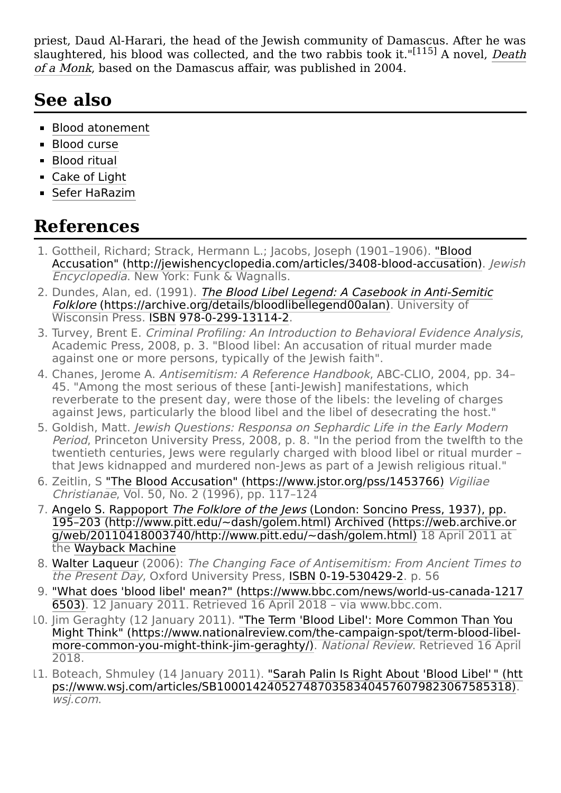priest, Daud Al-Harari, the head of the Jewish community of Damascus. After he was [slaughtered, his blood was collected, and the two rabbis took it."](https://en.wikipedia.org/wiki/Death_of_a_Monk)<sup>[\[115\]](#page-21-5)</sup> A novel. *Death* of a Monk, based on the Damascus affair, was published in 2004.

### <span id="page-14-11"></span>**See also**

- **[Blood atonement](https://en.wikipedia.org/wiki/Blood_atonement)**
- [Blood curse](https://en.wikipedia.org/wiki/Blood_curse)
- **[Blood ritual](https://en.wikipedia.org/wiki/Blood_ritual)**
- [Cake of Light](https://en.wikipedia.org/wiki/Cake_of_Light)
- [Sefer HaRazim](https://en.wikipedia.org/wiki/Sefer_HaRazim)

### <span id="page-14-12"></span>**References**

- <span id="page-14-0"></span>1. Gottheil, Richard; Strack, Hermann L.; Jacobs, Joseph (1901–1906). "Blood [Accusation" \(http://jewishencyclopedia.com/articles/3408-blood-accusation\).](http://jewishencyclopedia.com/articles/3408-blood-accusation) Jewish Encyclopedia. New York: Funk & Wagnalls.
- <span id="page-14-1"></span>2. Dundes, Alan, ed. (1991). The Blood Libel Legend: A Casebook in Anti-Semitic Folklore [\(https://archive.org/details/bloodlibellegend00alan\). University of](https://archive.org/details/bloodlibellegend00alan) Wisconsin Press. [ISBN](https://en.wikipedia.org/wiki/ISBN_(identifier)) [978-0-299-13114-2](https://en.wikipedia.org/wiki/Special:BookSources/978-0-299-13114-2).
- <span id="page-14-2"></span>3. Turvey, Brent E. Criminal Profiling: An Introduction to Behavioral Evidence Analysis, Academic Press, 2008, p. 3. "Blood libel: An accusation of ritual murder made against one or more persons, typically of the Jewish faith".
- <span id="page-14-3"></span>4. Chanes, Jerome A. Antisemitism: A Reference Handbook, ABC-CLIO, 2004, pp. 34– 45. "Among the most serious of these [anti-Jewish] manifestations, which reverberate to the present day, were those of the libels: the leveling of charges against lews, particularly the blood libel and the libel of desecrating the host."
- <span id="page-14-4"></span>5. Goldish, Matt. Jewish Questions: Responsa on Sephardic Life in the Early Modern Period, Princeton University Press, 2008, p. 8. "In the period from the twelfth to the twentieth centuries, Jews were regularly charged with blood libel or ritual murder – that Jews kidnapped and murdered non-Jews as part of a Jewish religious ritual."
- <span id="page-14-5"></span>6. Zeitlin, S ["The Blood Accusation" \(https://www.jstor.org/pss/1453766\)](https://www.jstor.org/pss/1453766) Vigiliae Christianae, Vol. 50, No. 2 (1996), pp. 117–124
- <span id="page-14-6"></span>7. Angelo S. Rappoport The Folklore of the Jews (London: Soncino Press, 1937), pp. [195–203 \(http://www.pitt.edu/~dash/golem.html\)](http://www.pitt.edu/~dash/golem.html) Archived (https://web.archive.or [g/web/20110418003740/http://www.pitt.edu/~dash/golem.html\) 18 April 2011 at](https://web.archive.org/web/20110418003740/http://www.pitt.edu/~dash/golem.html) the [Wayback Machine](https://en.wikipedia.org/wiki/Wayback_Machine)
- <span id="page-14-7"></span>8. [Walter Laqueur](https://en.wikipedia.org/wiki/Walter_Laqueur) (2006): The Changing Face of Antisemitism: From Ancient Times to the Present Day, Oxford University Press, [ISBN](https://en.wikipedia.org/wiki/ISBN_(identifier)) [0-19-530429-2](https://en.wikipedia.org/wiki/Special:BookSources/0-19-530429-2). p. 56
- <span id="page-14-8"></span>9. ["What does 'blood libel' mean?" \(https://www.bbc.com/news/world-us-canada-1217](https://www.bbc.com/news/world-us-canada-12176503) 6503). 12 January 2011. Retrieved 16 April 2018 – via www.bbc.com.
- <span id="page-14-9"></span>10. Jim Geraghty (12 January 2011). "The Term 'Blood Libel': More Common Than You [Might Think" \(https://www.nationalreview.com/the-campaign-spot/term-blood-libel](https://www.nationalreview.com/the-campaign-spot/term-blood-libel-more-common-you-might-think-jim-geraghty/)more-common-you-might-think-jim-geraghty/). National Review. Retrieved 16 April 2018.
- <span id="page-14-10"></span>11. Boteach, Shmuley (14 January 2011). "Sarah Palin Is Right About 'Blood Libel'" (htt [ps://www.wsj.com/articles/SB10001424052748703583404576079823067585318\).](https://www.wsj.com/articles/SB10001424052748703583404576079823067585318) wsj.com.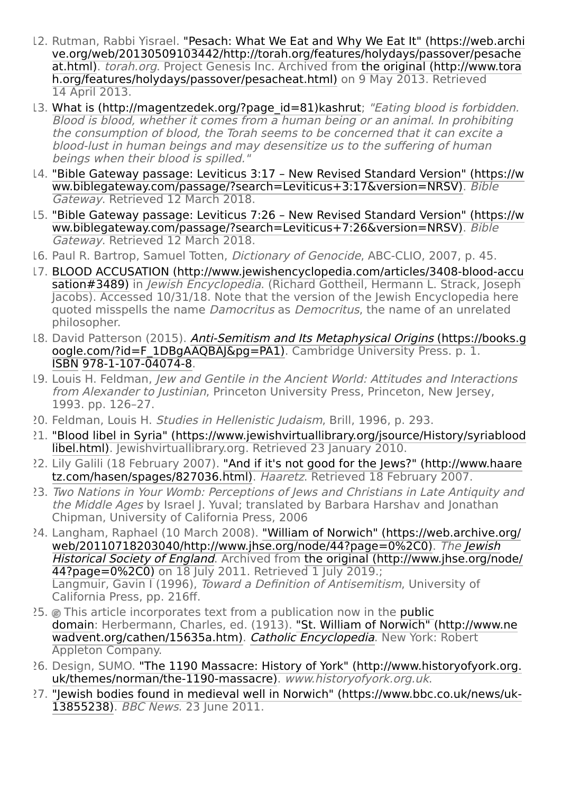- <span id="page-15-0"></span>12. [Rutman, Rabbi Yisrael. "Pesach: What We Eat and Why We Eat It" \(https://web.archi](https://web.archive.org/web/20130509103442/http://torah.org/features/holydays/passover/pesacheat.html) ve.org/web/20130509103442/http://torah.org/features/holydays/passover/pesache at.html). torah.org. Project Genesis Inc. Archived from the original (http://www.tora [h.org/features/holydays/passover/pesacheat.html\) on 9 May 2013. Retrieved](http://www.torah.org/features/holydays/passover/pesacheat.html) 14 April 2013.
- <span id="page-15-1"></span>13. [What is \(http://magentzedek.org/?page\\_id=81\)](http://magentzedek.org/?page_id=81)[kashrut](https://en.wikipedia.org/wiki/Kashrut); "Eating blood is forbidden. Blood is blood, whether it comes from a human being or an animal. In prohibiting the consumption of blood, the Torah seems to be concerned that it can excite a blood-lust in human beings and may desensitize us to the suffering of human beings when their blood is spilled."
- <span id="page-15-2"></span>14. ["Bible Gateway passage: Leviticus 3:17 – New Revised Standard Version" \(https://w](https://www.biblegateway.com/passage/?search=Leviticus+3:17&version=NRSV) ww.biblegateway.com/passage/?search=Leviticus+3:17&version=NRSV). Bible Gateway. Retrieved 12 March 2018.
- <span id="page-15-3"></span>15. ["Bible Gateway passage: Leviticus 7:26 – New Revised Standard Version" \(https://w](https://www.biblegateway.com/passage/?search=Leviticus+7:26&version=NRSV) ww.biblegateway.com/passage/?search=Leviticus+7:26&version=NRSV). Bible Gateway. Retrieved 12 March 2018.
- <span id="page-15-4"></span>16. Paul R. Bartrop, Samuel Totten, Dictionary of Genocide, ABC-CLIO, 2007, p. 45.
- <span id="page-15-5"></span>17. [BLOOD ACCUSATION \(http://www.jewishencyclopedia.com/articles/3408-blood-accu](http://www.jewishencyclopedia.com/articles/3408-blood-accusation#3489) sation#3489) in *Jewish Encyclopedia*, (Richard Gottheil, Hermann L. Strack, Joseph Jacobs). Accessed 10/31/18. Note that the version of the Jewish Encyclopedia here quoted misspells the name *Damocritus* as *Democritus*, the name of an unrelated philosopher.
- <span id="page-15-6"></span>18. David Patterson (2015). Anti-Semitism and Its Metaphysical Origins (https://books.g [oogle.com/?id=F\\_1DBgAAQBAJ&pg=PA1\). Cambridge University Press. p. 1.](https://books.google.com/?id=F_1DBgAAQBAJ&pg=PA1) [ISBN](https://en.wikipedia.org/wiki/ISBN_(identifier)) [978-1-107-04074-8](https://en.wikipedia.org/wiki/Special:BookSources/978-1-107-04074-8).
- <span id="page-15-7"></span>19. Louis H. Feldman, Jew and Gentile in the Ancient World: Attitudes and Interactions from Alexander to Justinian, Princeton University Press, Princeton, New Jersey, 1993. pp. 126–27.
- <span id="page-15-8"></span>20. Feldman, Louis H. Studies in Hellenistic Judaism, Brill, 1996, p. 293.
- <span id="page-15-9"></span>21. ["Blood libel in Syria" \(https://www.jewishvirtuallibrary.org/jsource/History/syriablood](https://www.jewishvirtuallibrary.org/jsource/History/syriabloodlibel.html) libel.html). Jewishvirtuallibrary.org. Retrieved 23 January 2010.
- <span id="page-15-10"></span>22. [Lily Galili \(18 February 2007\). "And if it's not good for the Jews?" \(http://www.haare](http://www.haaretz.com/hasen/spages/827036.html) tz.com/hasen/spages/827036.html). Haaretz. Retrieved 18 February 2007.
- <span id="page-15-11"></span>23. Two Nations in Your Womb: Perceptions of Jews and Christians in Late Antiquity and the Middle Ages by Israel J. Yuval; translated by Barbara Harshav and Jonathan Chipman, University of California Press, 2006
- <span id="page-15-12"></span>24. [Langham, Raphael \(10 March 2008\). "William of Norwich" \(https://web.archive.org/](https://web.archive.org/web/20110718203040/http://www.jhse.org/node/44?page=0%2C0) [web/20110718203040/http://www.jhse.org/node/44?page=0%2C0\).](https://en.wikipedia.org/wiki/Jewish_Historical_Society_of_England) The Jewish Historical Society of England. Archived from the original (http://www.jhse.org/node/ [44?page=0%2C0\) on 18 July 2011. Retrieved 1 July 2019.;](http://www.jhse.org/node/44?page=0%2C0) Langmuir, Gavin  $\overline{I}$  (1996), Toward a Definition of Antisemitism, University of California Press, pp. 216ff.
- <span id="page-15-13"></span>25.**This article incorporates text from a publication now in the public** [domain: Herbermann, Charles, ed. \(1913\). "St. William of Norwich"](https://en.wikipedia.org/wiki/Public_domain) [\(http://www.ne](http://www.newadvent.org/cathen/15635a.htm) wadvent.org/cathen/15635a.htm). [Catholic Encyclopedia](https://en.wikipedia.org/wiki/Catholic_Encyclopedia). New York: Robert Appleton Company.
- <span id="page-15-14"></span>26. [Design, SUMO. "The 1190 Massacre: History of York" \(http://www.historyofyork.org.](http://www.historyofyork.org.uk/themes/norman/the-1190-massacre) uk/themes/norman/the-1190-massacre). www.historyofyork.org.uk.
- <span id="page-15-15"></span>27. ["Jewish bodies found in medieval well in Norwich" \(https://www.bbc.co.uk/news/uk-](https://www.bbc.co.uk/news/uk-13855238)13855238). BBC News. 23 June 2011.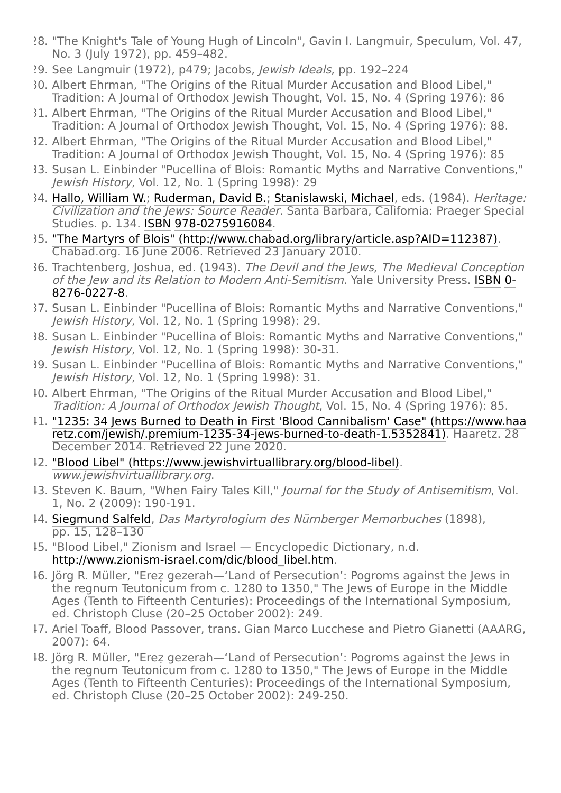- <span id="page-16-0"></span>28. "The Knight's Tale of Young Hugh of Lincoln", Gavin I. Langmuir, Speculum, Vol. 47, No. 3 (July 1972), pp. 459–482.
- <span id="page-16-1"></span>29. See Langmuir (1972), p479; Jacobs, Jewish Ideals, pp. 192–224
- <span id="page-16-2"></span>30. Albert Ehrman, "The Origins of the Ritual Murder Accusation and Blood Libel," Tradition: A Journal of Orthodox Jewish Thought, Vol. 15, No. 4 (Spring 1976): 86
- <span id="page-16-3"></span>31. Albert Ehrman, "The Origins of the Ritual Murder Accusation and Blood Libel," Tradition: A Journal of Orthodox Jewish Thought, Vol. 15, No. 4 (Spring 1976): 88.
- <span id="page-16-4"></span>32. Albert Ehrman, "The Origins of the Ritual Murder Accusation and Blood Libel," Tradition: A Journal of Orthodox Jewish Thought, Vol. 15, No. 4 (Spring 1976): 85
- <span id="page-16-5"></span>33. Susan L. Einbinder "Pucellina of Blois: Romantic Myths and Narrative Conventions," Jewish History, Vol. 12, No. 1 (Spring 1998): 29
- <span id="page-16-6"></span>34. [Hallo, William W.](https://en.wikipedia.org/wiki/William_W._Hallo); [Ruderman, David B.](https://en.wikipedia.org/wiki/David_B._Ruderman); [Stanislawski, Michael,](https://en.wikipedia.org/wiki/Michael_Stanislawski) eds. (1984). Heritage: Civilization and the Jews: Source Reader. Santa Barbara, California: Praeger Special Studies. p. 134. [ISBN](https://en.wikipedia.org/wiki/ISBN_(identifier)) [978-0275916084.](https://en.wikipedia.org/wiki/Special:BookSources/978-0275916084)
- <span id="page-16-7"></span>35. ["The Martyrs of Blois" \(http://www.chabad.org/library/article.asp?AID=112387\)](http://www.chabad.org/library/article.asp?AID=112387). Chabad.org. 16 June 2006. Retrieved 23 January 2010.
- <span id="page-16-8"></span>36. Trachtenberg, Joshua, ed. (1943). The Devil and the Jews, The Medieval Conception of the Iew and its Relation to Modern Anti-Semitism. Yale University Press. [ISBN](https://en.wikipedia.org/wiki/ISBN_(identifier)) 0-8276-0227-8.
- <span id="page-16-9"></span>37. Susan L. Einbinder "Pucellina of Blois: Romantic Myths and Narrative Conventions," Jewish History, Vol. 12, No. 1 (Spring 1998): 29.
- <span id="page-16-10"></span>38. Susan L. Einbinder "Pucellina of Blois: Romantic Myths and Narrative Conventions," Jewish History, Vol. 12, No. 1 (Spring 1998): 30-31.
- <span id="page-16-11"></span>39. Susan L. Einbinder "Pucellina of Blois: Romantic Myths and Narrative Conventions," Jewish History, Vol. 12, No. 1 (Spring 1998): 31.
- <span id="page-16-12"></span>40. Albert Ehrman, "The Origins of the Ritual Murder Accusation and Blood Libel," Tradition: A Journal of Orthodox Jewish Thought, Vol. 15, No. 4 (Spring 1976): 85.
- <span id="page-16-13"></span>41. ["1235: 34 Jews Burned to Death in First 'Blood Cannibalism' Case" \(https://www.haa](https://www.haaretz.com/jewish/.premium-1235-34-jews-burned-to-death-1.5352841) retz.com/jewish/.premium-1235-34-jews-burned-to-death-1.5352841). Haaretz. 28 December 2014. Retrieved 22 June 2020.
- <span id="page-16-14"></span>42. ["Blood Libel" \(https://www.jewishvirtuallibrary.org/blood-libel\).](https://www.jewishvirtuallibrary.org/blood-libel) www.jewishvirtuallibrary.org.
- <span id="page-16-15"></span>13. Steven K. Baum, "When Fairy Tales Kill," Journal for the Study of Antisemitism, Vol. 1, No. 2 (2009): 190-191.
- <span id="page-16-16"></span>44. [Siegmund Salfeld,](https://en.wikipedia.org/wiki/Siegmund_Salfeld) Das Martyrologium des Nürnberger Memorbuches (1898), pp. 15, 128–130
- <span id="page-16-17"></span>45. "Blood Libel," Zionism and Israel — Encyclopedic Dictionary, n.d. [http://www.zionism-israel.com/dic/blood\\_libel.htm](http://www.zionism-israel.com/dic/blood_libel.htm).
- <span id="page-16-18"></span>46. Jörg R. Müller, "Ereẓ gezerah—'Land of Persecution': Pogroms against the Jews in the regnum Teutonicum from c. 1280 to 1350," The Jews of Europe in the Middle Ages (Tenth to Fifteenth Centuries): Proceedings of the International Symposium, ed. Christoph Cluse (20–25 October 2002): 249.
- <span id="page-16-19"></span>47. Ariel Toaff, Blood Passover, trans. Gian Marco Lucchese and Pietro Gianetti (AAARG, 2007): 64.
- <span id="page-16-20"></span>48. Jörg R. Müller, "Ereẓ gezerah—'Land of Persecution': Pogroms against the Jews in the regnum Teutonicum from c. 1280 to 1350," The Jews of Europe in the Middle Ages (Tenth to Fifteenth Centuries): Proceedings of the International Symposium, ed. Christoph Cluse (20–25 October 2002): 249-250.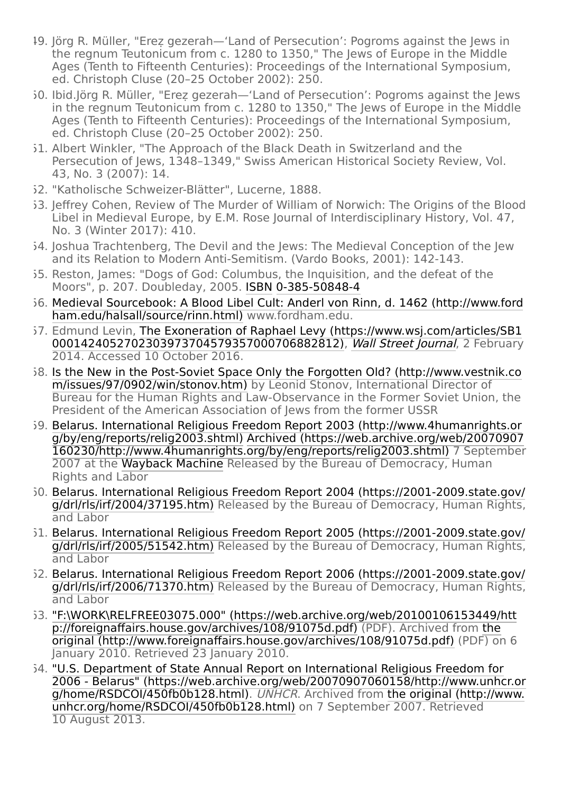- <span id="page-17-0"></span>49. Jörg R. Müller, "Ereẓ gezerah—'Land of Persecution': Pogroms against the Jews in the regnum Teutonicum from c. 1280 to 1350," The Jews of Europe in the Middle Ages (Tenth to Fifteenth Centuries): Proceedings of the International Symposium, ed. Christoph Cluse (20–25 October 2002): 250.
- <span id="page-17-1"></span>50. Ibid.Jörg R. Müller, "Ereẓ gezerah—'Land of Persecution': Pogroms against the Jews in the regnum Teutonicum from c. 1280 to 1350," The Jews of Europe in the Middle Ages (Tenth to Fifteenth Centuries): Proceedings of the International Symposium, ed. Christoph Cluse (20–25 October 2002): 250.
- <span id="page-17-2"></span>51. Albert Winkler, "The Approach of the Black Death in Switzerland and the Persecution of Jews, 1348–1349." Swiss American Historical Society Review, Vol. 43, No. 3 (2007): 14.
- <span id="page-17-3"></span>52. "Katholische Schweizer-Blätter", Lucerne, 1888.
- <span id="page-17-4"></span>53. Jeffrey Cohen, Review of The Murder of William of Norwich: The Origins of the Blood Libel in Medieval Europe, by E.M. Rose Journal of Interdisciplinary History, Vol. 47, No. 3 (Winter 2017): 410.
- <span id="page-17-5"></span>54. Joshua Trachtenberg, The Devil and the Jews: The Medieval Conception of the Jew and its Relation to Modern Anti-Semitism. (Vardo Books, 2001): 142-143.
- <span id="page-17-6"></span>55. Reston, James: "Dogs of God: Columbus, the Inquisition, and the defeat of the Moors", p. 207. Doubleday, 2005. [ISBN](https://en.wikipedia.org/wiki/ISBN_(identifier)) [0-385-50848-4](https://en.wikipedia.org/wiki/Special:BookSources/0-385-50848-4)
- <span id="page-17-7"></span>56. [Medieval Sourcebook: A Blood Libel Cult: Anderl von Rinn, d. 1462 \(http://www.ford](http://www.fordham.edu/halsall/source/rinn.html) ham.edu/halsall/source/rinn.html) www.fordham.edu.
- <span id="page-17-8"></span>57. [Edmund Levin, The Exoneration of Raphael Levy \(https://www.wsj.com/articles/SB1](https://www.wsj.com/articles/SB10001424052702303973704579357000706882812) 0001424052702303973704579357000706882812), [Wall Street Journal](https://en.wikipedia.org/wiki/Wall_Street_Journal), 2 February 2014. Accessed 10 October 2016.
- <span id="page-17-9"></span>58. [Is the New in the Post-Soviet Space Only the Forgotten Old? \(http://www.vestnik.co](http://www.vestnik.com/issues/97/0902/win/stonov.htm) m/issues/97/0902/win/stonov.htm) by Leonid Stonov, International Director of Bureau for the Human Rights and Law-Observance in the Former Soviet Union, the President of the American Association of Jews from the former USSR
- <span id="page-17-10"></span>59. [Belarus. International Religious Freedom Report 2003 \(http://www.4humanrights.or](http://www.4humanrights.org/by/eng/reports/relig2003.shtml) g/by/eng/reports/relig2003.shtml) Archived (https://web.archive.org/web/20070907 [160230/http://www.4humanrights.org/by/eng/reports/relig2003.shtml\) 7 September](https://web.archive.org/web/20070907160230/http://www.4humanrights.org/by/eng/reports/relig2003.shtml) 2007 at the [Wayback Machine](https://en.wikipedia.org/wiki/Wayback_Machine) Released by the Bureau of Democracy, Human Rights and Labor
- <span id="page-17-11"></span>60. [Belarus. International Religious Freedom Report 2004 \(https://2001-2009.state.gov/](https://2001-2009.state.gov/g/drl/rls/irf/2004/37195.htm) g/drl/rls/irf/2004/37195.htm) Released by the Bureau of Democracy, Human Rights, and Labor
- <span id="page-17-12"></span>51. [Belarus. International Religious Freedom Report 2005 \(https://2001-2009.state.gov/](https://2001-2009.state.gov/g/drl/rls/irf/2005/51542.htm) g/drl/rls/irf/2005/51542.htm) Released by the Bureau of Democracy, Human Rights, and Labor
- <span id="page-17-13"></span>62. [Belarus. International Religious Freedom Report 2006 \(https://2001-2009.state.gov/](https://2001-2009.state.gov/g/drl/rls/irf/2006/71370.htm) g/drl/rls/irf/2006/71370.htm) Released by the Bureau of Democracy, Human Rights, and Labor
- <span id="page-17-14"></span>63. ["F:\WORK\RELFREE03075.000" \(https://web.archive.org/web/20100106153449/htt](https://web.archive.org/web/20100106153449/http://foreignaffairs.house.gov/archives/108/91075d.pdf) p://foreignaffairs.house.gov/archives/108/91075d.pdf) (PDF). Archived from the [original \(http://www.foreignaffairs.house.gov/archives/108/91075d.pdf\)](http://www.foreignaffairs.house.gov/archives/108/91075d.pdf) (PDF) on 6 January 2010. Retrieved 23 January 2010.
- <span id="page-17-15"></span>64. "U.S. Department of State Annual Report on International Religious Freedom for [2006 - Belarus" \(https://web.archive.org/web/20070907060158/http://www.unhcr.or](https://web.archive.org/web/20070907060158/http://www.unhcr.org/home/RSDCOI/450fb0b128.html) g/home/RSDCOI/450fb0b128.html). UNHCR. Archived from the original (http://www. [unhcr.org/home/RSDCOI/450fb0b128.html\) on 7 September 2007. Retrieved](http://www.unhcr.org/home/RSDCOI/450fb0b128.html) 10 August 2013.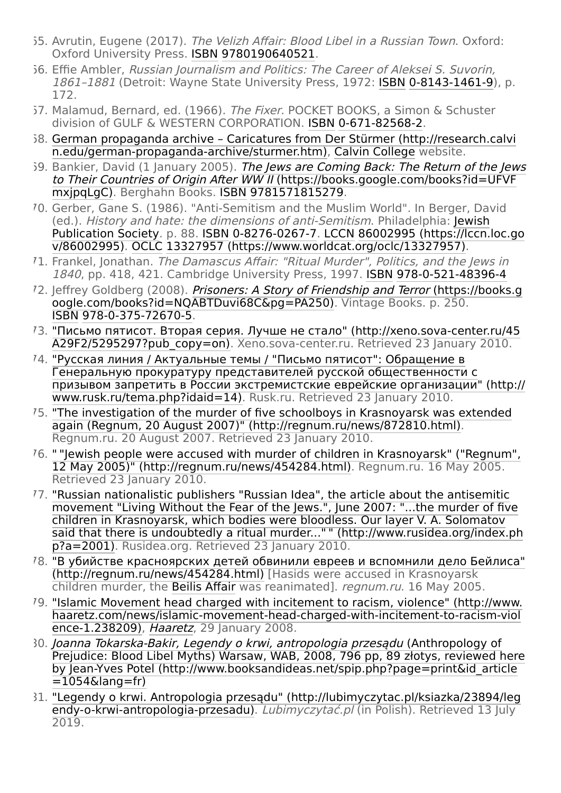- <span id="page-18-0"></span>65. Avrutin, Eugene (2017). The Velizh Affair: Blood Libel in a Russian Town. Oxford: Oxford University Press. [ISBN](https://en.wikipedia.org/wiki/ISBN_(identifier)) [9780190640521.](https://en.wikipedia.org/wiki/Special:BookSources/9780190640521)
- <span id="page-18-1"></span>66. Effie Ambler, Russian Journalism and Politics: The Career of Aleksei S. Suvorin, 1861-1881 (Detroit: Wayne State University Press, 1972: [ISBN](https://en.wikipedia.org/wiki/ISBN_(identifier)) [0-8143-1461-9\)](https://en.wikipedia.org/wiki/Special:BookSources/0-8143-1461-9), p. 172.
- <span id="page-18-2"></span>57. Malamud, Bernard, ed. (1966). The Fixer. POCKET BOOKS, a Simon & Schuster division of GULF & WESTERN CORPORATION. [ISBN](https://en.wikipedia.org/wiki/ISBN_(identifier)) [0-671-82568-2.](https://en.wikipedia.org/wiki/Special:BookSources/0-671-82568-2)
- <span id="page-18-3"></span>68. [German propaganda archive – Caricatures from Der Stürmer \(http://research.calvi](http://research.calvin.edu/german-propaganda-archive/sturmer.htm) n.edu/german-propaganda-archive/sturmer.htm), [Calvin College](https://en.wikipedia.org/wiki/Calvin_College) website.
- <span id="page-18-4"></span>59. Bankier, David (1 January 2005). [The Jews are Coming Back: The Return of the Jews](https://books.google.com/books?id=UFVFmxjpqLgC) to Their Countries of Origin After WW II (https://books.google.com/books?id=UFVF mxjpqLgC). Berghahn Books. [ISBN](https://en.wikipedia.org/wiki/ISBN_(identifier)) [9781571815279.](https://en.wikipedia.org/wiki/Special:BookSources/9781571815279)
- <span id="page-18-5"></span>70. Gerber, Gane S. (1986). "Anti-Semitism and the Muslim World". In Berger, David (ed.). [History and hate: the dimensions of anti-Semitism](https://en.wikipedia.org/wiki/Jewish_Publication_Society_of_America). Philadelphia: Jewish Publication Society. p. 88. [ISBN](https://en.wikipedia.org/wiki/ISBN_(identifier)) [0-8276-0267-7](https://en.wikipedia.org/wiki/Special:BookSources/0-8276-0267-7). [LCCN](https://en.wikipedia.org/wiki/LCCN_(identifier)) 86002995 (https://lccn.loc.go v/86002995). [OCLC](https://en.wikipedia.org/wiki/OCLC_(identifier)) [13327957 \(https://www.worldcat.org/oclc/13327957\).](https://lccn.loc.gov/86002995)
- <span id="page-18-6"></span>71. Frankel, Jonathan. The Damascus Affair: "Ritual Murder", Politics, and the Jews in 1840, pp. 418, 421. Cambridge University Press, 1997. [ISBN](https://en.wikipedia.org/wiki/ISBN_(identifier)) [978-0-521-48396-4](https://en.wikipedia.org/wiki/Special:BookSources/978-0-521-48396-4)
- <span id="page-18-7"></span>72. Jeffrey Goldberg (2008). Prisoners: A Story of Friendship and Terror (https://books.g [oogle.com/books?id=NQABTDuvi68C&pg=PA250\). Vintage Books. p. 250.](https://books.google.com/books?id=NQABTDuvi68C&pg=PA250) [ISBN](https://en.wikipedia.org/wiki/ISBN_(identifier)) [978-0-375-72670-5](https://en.wikipedia.org/wiki/Special:BookSources/978-0-375-72670-5).
- <span id="page-18-8"></span>73. ["Письмо пятисот. Вторая серия. Лучше не стало" \(http://xeno.sova-center.ru/45](http://xeno.sova-center.ru/45A29F2/5295297?pub_copy=on) A29F2/5295297?pub\_copy=on). Xeno.sova-center.ru. Retrieved 23 January 2010.
- <span id="page-18-9"></span>74. "Русская линия / Актуальные темы / "Письмо пятисот": Обращение в Генеральную прокуратуру представителей русской общественности с [призывом запретить в России экстремистские еврейские организации" \(http://](http://www.rusk.ru/tema.php?idaid=14) www.rusk.ru/tema.php?idaid=14). Rusk.ru. Retrieved 23 January 2010.
- <span id="page-18-10"></span>75. ["The investigation of the murder of five schoolboys in Krasnoyarsk was extended](http://regnum.ru/news/872810.html) again (Regnum, 20 August 2007)" (http://regnum.ru/news/872810.html). Regnum.ru. 20 August 2007. Retrieved 23 January 2010.
- <span id="page-18-11"></span>76. " ["Jewish people were accused with murder of children in Krasnoyarsk" \("Regnum",](http://regnum.ru/news/454284.html) 12 May 2005)" (http://regnum.ru/news/454284.html). Regnum.ru. 16 May 2005. Retrieved 23 January 2010.
- <span id="page-18-12"></span>77. "Russian nationalistic publishers "Russian Idea", the article about the antisemitic [movement "Living Without the Fear of the Jews.", June 2007: "...the murder of five](http://www.rusidea.org/index.php?a=2001) children in Krasnoyarsk, which bodies were bloodless. Our layer V. A. Solomatov said that there is undoubtedly a ritual murder..." " (http://www.rusidea.org/index.ph p?a=2001). Rusidea.org. Retrieved 23 January 2010.
- <span id="page-18-13"></span>78. ["В убийстве красноярских детей обвинили евреев и вспомнили дело Бейлиса"](http://regnum.ru/news/454284.html) (http://regnum.ru/news/454284.html) [Hasids were accused in Krasnoyarsk children murder, the [Beilis Affair](https://en.wikipedia.org/wiki/Menahem_Mendel_Beilis) was reanimated]. regnum.ru. 16 May 2005.
- <span id="page-18-14"></span>79. ["Islamic Movement head charged with incitement to racism, violence" \(http://www.](http://www.haaretz.com/news/islamic-movement-head-charged-with-incitement-to-racism-violence-1.238209) haaretz.com/news/islamic-movement-head-charged-with-incitement-to-racism-viol ence-1.238209), [Haaretz](https://en.wikipedia.org/wiki/Haaretz), 29 January 2008.
- <span id="page-18-15"></span>80. Joanna Tokarska-Bakir, Legendy o krwi, antropologia przesądu (Anthropology of [Prejudice: Blood Libel Myths\) Warsaw, WAB, 2008, 796 pp, 89 złotys, reviewed here](http://www.booksandideas.net/spip.php?page=print&id_article=1054&lang=fr) by Jean-Yves Potel (http://www.booksandideas.net/spip.php?page=print&id\_article  $=1054$ &lang=fr)
- <span id="page-18-16"></span>81. ["Legendy o krwi. Antropologia przesądu" \(http://lubimyczytac.pl/ksiazka/23894/leg](http://lubimyczytac.pl/ksiazka/23894/legendy-o-krwi-antropologia-przesadu) endy-o-krwi-antropologia-przesadu). Lubimyczytać.pl (in Polish). Retrieved 13 July 2019.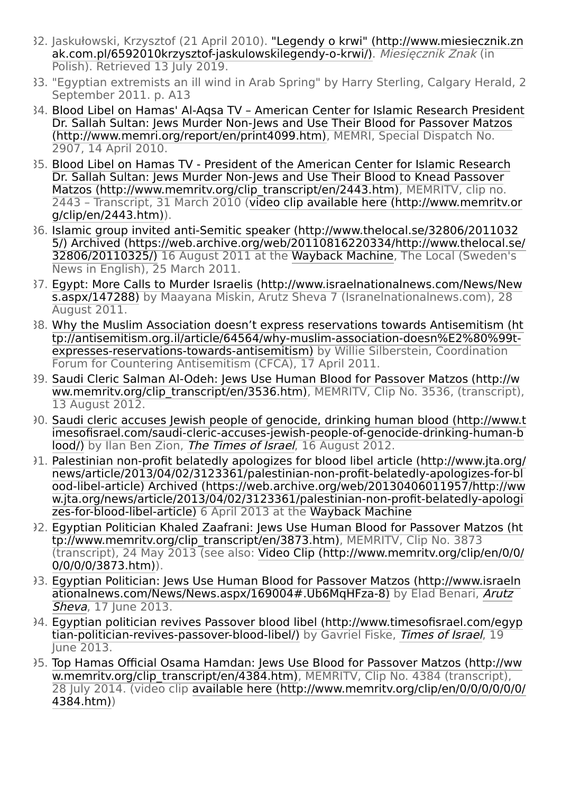- <span id="page-19-0"></span>82. [Jaskułowski, Krzysztof \(21 April 2010\). "Legendy o krwi" \(http://www.miesiecznik.zn](http://www.miesiecznik.znak.com.pl/6592010krzysztof-jaskulowskilegendy-o-krwi/) ak.com.pl/6592010krzysztof-jaskulowskilegendy-o-krwi/). Miesięcznik Znak (in Polish). Retrieved 13 July 2019.
- <span id="page-19-1"></span>83. "Egyptian extremists an ill wind in Arab Spring" by Harry Sterling, Calgary Herald, 2 September 2011. p. A13
- <span id="page-19-2"></span>84. [Blood Libel on Hamas' Al-Aqsa TV – American Center for Islamic Research President](http://www.memri.org/report/en/print4099.htm) Dr. Sallah Sultan: Jews Murder Non-Jews and Use Their Blood for Passover Matzos (http://www.memri.org/report/en/print4099.htm), MEMRI, Special Dispatch No. 2907, 14 April 2010.
- <span id="page-19-3"></span>85. [Blood Libel on Hamas TV - President of the American Center for Islamic Research](http://www.memritv.org/clip_transcript/en/2443.htm) Dr. Sallah Sultan: Jews Murder Non-Jews and Use Their Blood to Knead Passover Matzos (http://www.memrity.org/clip\_transcript/en/2443.htm), MEMRITV, clip no. [2443 – Transcript, 31 March 2010 \(video clip available here \(http://www.memritv.or](http://www.memritv.org/clip/en/2443.htm) g/clip/en/2443.htm)).
- <span id="page-19-4"></span>86. [Islamic group invited anti-Semitic speaker \(http://www.thelocal.se/32806/2011032](http://www.thelocal.se/32806/20110325/) 5/) Archived (https://web.archive.org/web/20110816220334/http://www.thelocal.se/ [32806/20110325/\) 16 August 2011 at the Wayback Machine, The Local \(Sweden's](https://web.archive.org/web/20110816220334/http://www.thelocal.se/32806/20110325/) News in English), 25 March 2011.
- <span id="page-19-5"></span>87. [Egypt: More Calls to Murder Israelis \(http://www.israelnationalnews.com/News/New](http://www.israelnationalnews.com/News/News.aspx/147288) s.aspx/147288) by Maayana Miskin, Arutz Sheva 7 (Isranelnationalnews.com), 28 August 2011.
- <span id="page-19-6"></span>88. [Why the Muslim Association doesn't express reservations towards Antisemitism \(ht](http://antisemitism.org.il/article/64564/why-muslim-association-doesn%E2%80%99t-expresses-reservations-towards-antisemitism) tp://antisemitism.org.il/article/64564/why-muslim-association-doesn%E2%80%99texpresses-reservations-towards-antisemitism) by Willie Silberstein, Coordination Forum for Countering Antisemitism (CFCA), 17 April 2011.
- <span id="page-19-7"></span>89. [Saudi Cleric Salman Al-Odeh: Jews Use Human Blood for Passover Matzos \(http://w](http://www.memritv.org/clip_transcript/en/3536.htm) ww.memrity.org/clip\_transcript/en/3536.htm), MEMRITV, Clip No. 3536, (transcript), 13 August 2012.
- <span id="page-19-8"></span>90. [Saudi cleric accuses Jewish people of genocide, drinking human blood \(http://www.t](http://www.timesofisrael.com/saudi-cleric-accuses-jewish-people-of-genocide-drinking-human-blood/) imesofisrael.com/saudi-cleric-accuses-jewish-people-of-genocide-drinking-human-b lood/) by Ilan Ben Zion, [The Times of Israel](https://en.wikipedia.org/wiki/The_Times_of_Israel), 16 August 2012.
- <span id="page-19-9"></span>91. [Palestinian non-profit belatedly apologizes for blood libel article \(http://www.jta.org/](http://www.jta.org/news/article/2013/04/02/3123361/palestinian-non-profit-belatedly-apologizes-for-blood-libel-article) news/article/2013/04/02/3123361/palestinian-non-profit-belatedly-apologizes-for-bl ood-libel-article) Archived (https://web.archive.org/web/20130406011957/http://ww [w.jta.org/news/article/2013/04/02/3123361/palestinian-non-profit-belatedly-apologi](https://web.archive.org/web/20130406011957/http://www.jta.org/news/article/2013/04/02/3123361/palestinian-non-profit-belatedly-apologizes-for-blood-libel-article) zes-for-blood-libel-article) 6 April 2013 at the [Wayback Machine](https://en.wikipedia.org/wiki/Wayback_Machine)
- <span id="page-19-10"></span>92. [Egyptian Politician Khaled Zaafrani: Jews Use Human Blood for Passover Matzos \(ht](http://www.memritv.org/clip_transcript/en/3873.htm) tp://www.memritv.org/clip\_transcript/en/3873.htm), MEMRITV, Clip No. 3873 [\(transcript\), 24 May 2013 \(see also: Video Clip \(http://www.memritv.org/clip/en/0/0/](http://www.memritv.org/clip/en/0/0/0/0/0/0/3873.htm) 0/0/0/0/3873.htm)).
- <span id="page-19-11"></span>93. [Egyptian Politician: Jews Use Human Blood for Passover Matzos \(http://www.israeln](http://www.israelnationalnews.com/News/News.aspx/169004#.Ub6MqHFza-8) [ationalnews.com/News/News.aspx/169004#.Ub6MqHFza-8\) by Elad Benari,](https://en.wikipedia.org/wiki/Arutz_Sheva) Arutz **Sheva, 17 June 2013.**
- <span id="page-19-12"></span>94. [Egyptian politician revives Passover blood libel \(http://www.timesofisrael.com/egyp](http://www.timesofisrael.com/egyptian-politician-revives-passover-blood-libel/) tian-politician-revives-passover-blood-libel/) by Gavriel Fiske, [Times of Israel](https://en.wikipedia.org/wiki/Times_of_Israel), 19 June 2013.
- <span id="page-19-13"></span>95. [Top Hamas Official Osama Hamdan: Jews Use Blood for Passover Matzos \(http://ww](http://www.memritv.org/clip_transcript/en/4384.htm) w.memrity.org/clip\_transcript/en/4384.htm), MEMRITV, Clip No. 4384 (transcript), [28 July 2014. \(video clip available here \(http://www.memritv.org/clip/en/0/0/0/0/0/0/](http://www.memritv.org/clip/en/0/0/0/0/0/0/4384.htm) 4384.htm))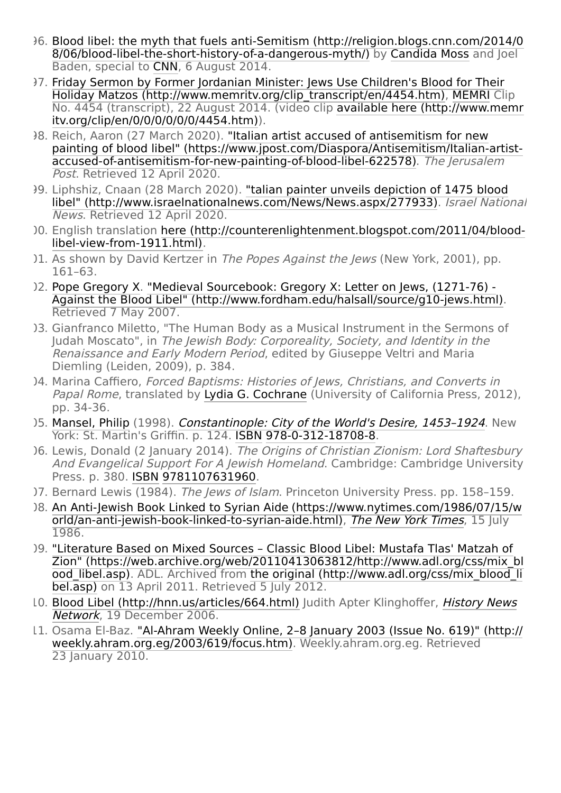- <span id="page-20-0"></span>96. [Blood libel: the myth that fuels anti-Semitism \(http://religion.blogs.cnn.com/2014/0](http://religion.blogs.cnn.com/2014/08/06/blood-libel-the-short-history-of-a-dangerous-myth/) 8/06/blood-libel-the-short-history-of-a-dangerous-myth/) by [Candida Moss](https://en.wikipedia.org/wiki/Candida_Moss) and Joel Baden, special to [CNN,](https://en.wikipedia.org/wiki/CNN) 6 August 2014.
- <span id="page-20-1"></span>97. Friday Sermon by Former Jordanian Minister: Jews Use Children's Blood for Their [Holiday Matzos \(http://www.memritv.org/clip\\_transcript/en/4454.htm\), MEMRI Cli](http://www.memritv.org/clip_transcript/en/4454.htm)p [No. 4454 \(transcript\), 22 August 2014. \(video clip available here \(http://www.memr](http://www.memritv.org/clip/en/0/0/0/0/0/0/4454.htm) itv.org/clip/en/0/0/0/0/0/0/4454.htm)).
- <span id="page-20-2"></span>98. Reich, Aaron (27 March 2020). "Italian artist accused of antisemitism for new [painting of blood libel" \(https://www.jpost.com/Diaspora/Antisemitism/Italian-artist](https://www.jpost.com/Diaspora/Antisemitism/Italian-artist-accused-of-antisemitism-for-new-painting-of-blood-libel-622578)accused-of-antisemitism-for-new-painting-of-blood-libel-622578). The Jerusalem Post. Retrieved 12 April 2020.
- <span id="page-20-3"></span>99. [Liphshiz, Cnaan \(28 March 2020\). "talian painter unveils depiction of 1475 blood](http://www.israelnationalnews.com/News/News.aspx/277933) libel" (http://www.israelnationalnews.com/News/News.aspx/277933). Israel National News. Retrieved 12 April 2020.
- <span id="page-20-4"></span>00. [English translation here \(http://counterenlightenment.blogspot.com/2011/04/blood](http://counterenlightenment.blogspot.com/2011/04/blood-libel-view-from-1911.html)libel-view-from-1911.html).
- <span id="page-20-5"></span>01. As shown by David Kertzer in The Popes Against the Jews (New York, 2001), pp. 161–63.
- <span id="page-20-6"></span>02. [Pope Gregory X.](https://en.wikipedia.org/wiki/Pope_Gregory_X) "Medieval Sourcebook: Gregory X: Letter on Jews, (1271-76) - [Against the Blood Libel" \(http://www.fordham.edu/halsall/source/g10-jews.html\)](http://www.fordham.edu/halsall/source/g10-jews.html). Retrieved 7 May 2007.
- <span id="page-20-7"></span>03. Gianfranco Miletto, "The Human Body as a Musical Instrument in the Sermons of Judah Moscato", in The Jewish Body: Corporeality, Society, and Identity in the Renaissance and Early Modern Period, edited by Giuseppe Veltri and Maria Diemling (Leiden, 2009), p. 384.
- <span id="page-20-8"></span>04. Marina Caffiero, Forced Baptisms: Histories of Jews, Christians, and Converts in Papal Rome, translated by [Lydia G. Cochrane](https://en.wikipedia.org/w/index.php?title=Lydia_G._Cochrane&action=edit&redlink=1) (University of California Press, 2012), pp. 34-36.
- <span id="page-20-9"></span>05. [Mansel, Philip](https://en.wikipedia.org/wiki/Philip_Mansel) (1998). [Constantinople: City of the World's Desire, 1453–1924](https://en.wikipedia.org/wiki/Constantinople:_City_of_the_World%27s_Desire,_1453%E2%80%931924). New York: St. Martin's Griffin. p. 124. [ISBN](https://en.wikipedia.org/wiki/ISBN_(identifier)) [978-0-312-18708-8](https://en.wikipedia.org/wiki/Special:BookSources/978-0-312-18708-8).
- <span id="page-20-10"></span>06. Lewis, Donald (2 January 2014). The Origins of Christian Zionism: Lord Shaftesbury And Evangelical Support For A Jewish Homeland. Cambridge: Cambridge University Press. p. 380. [ISBN](https://en.wikipedia.org/wiki/ISBN_(identifier)) [9781107631960.](https://en.wikipedia.org/wiki/Special:BookSources/9781107631960)
- <span id="page-20-11"></span>07. Bernard Lewis (1984). The Jews of Islam. Princeton University Press. pp. 158-159.
- <span id="page-20-12"></span>08. [An Anti-Jewish Book Linked to Syrian Aide \(https://www.nytimes.com/1986/07/15/w](https://www.nytimes.com/1986/07/15/world/an-anti-jewish-book-linked-to-syrian-aide.html) orld/an-anti-jewish-book-linked-to-syrian-aide.html), [The New York Times](https://en.wikipedia.org/wiki/The_New_York_Times), 15 July 1986.
- <span id="page-20-13"></span>09. "Literature Based on Mixed Sources – Classic Blood Libel: Mustafa Tlas' Matzah of [Zion" \(https://web.archive.org/web/20110413063812/http://www.adl.org/css/mix\\_bl](https://web.archive.org/web/20110413063812/http://www.adl.org/css/mix_blood_libel.asp) ood libel.asp). ADL. Archived from the original (http://www.adl.org/css/mix\_blood\_li bel.asp) on 13 April 2011. Retrieved 5 July 2012.
- <span id="page-20-14"></span>10. [Blood Libel \(http://hnn.us/articles/664.html\)](http://hnn.us/articles/664.html) Judith Apter Klinghoffer, History News Network, 19 December 2006.
- <span id="page-20-15"></span>11. [Osama El-Baz. "Al-Ahram Weekly Online, 2–8 January 2003 \(Issue No. 619\)" \(http://](http://weekly.ahram.org.eg/2003/619/focus.htm) weekly.ahram.org.eg/2003/619/focus.htm). Weekly.ahram.org.eg. Retrieved 23 January 2010.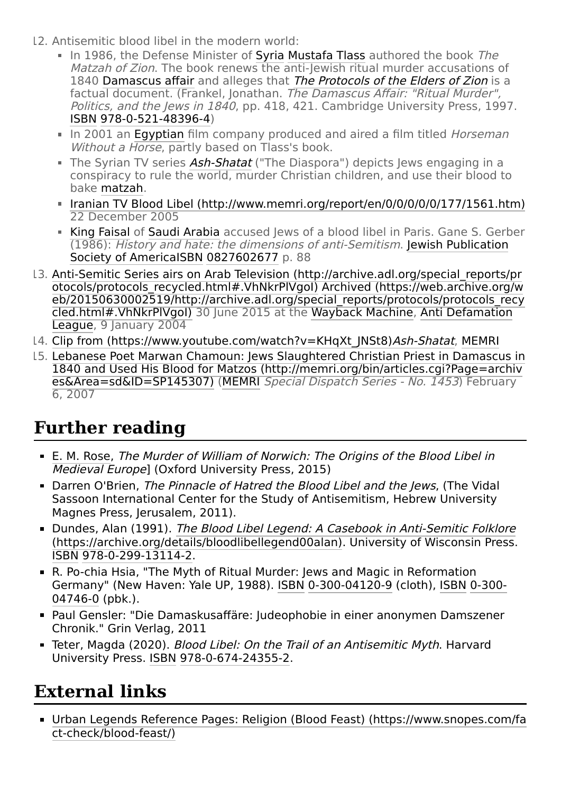- <span id="page-21-2"></span>12. Antisemitic blood libel in the modern world:
	- In 1986, the Defense Minister of [Syria](https://en.wikipedia.org/wiki/Syria) [Mustafa Tlass](https://en.wikipedia.org/wiki/Mustafa_Tlass) authored the book The Matzah of Zion. The book renews the anti-Jewish ritual murder accusations of 1840 [Damascus affair](https://en.wikipedia.org/wiki/Damascus_affair) and alleges that [The Protocols of the Elders of Zion](https://en.wikipedia.org/wiki/The_Protocols_of_the_Elders_of_Zion) is a factual document. (Frankel, Jonathan. The Damascus Affair: "Ritual Murder", Politics, and the Jews in 1840, pp. 418, 421. Cambridge University Press, 1997. [ISBN](https://en.wikipedia.org/wiki/ISBN_(identifier)) [978-0-521-48396-4\)](https://en.wikipedia.org/wiki/Special:BookSources/978-0-521-48396-4)
	- In 2001 an [Egyptian](https://en.wikipedia.org/wiki/Egypt) film company produced and aired a film titled *Horseman* Without a Horse, partly based on Tlass's book.
	- The Syrian TV series [Ash-Shatat](https://en.wikipedia.org/wiki/Ash-Shatat) ("The Diaspora") depicts Jews engaging in a conspiracy to rule the world, murder Christian children, and use their blood to bake [matzah](https://en.wikipedia.org/wiki/Matzah).
	- [Iranian TV Blood Libel \(http://www.memri.org/report/en/0/0/0/0/0/177/1561.htm\)](http://www.memri.org/report/en/0/0/0/0/0/177/1561.htm) 22 December 2005
	- [King Faisal](https://en.wikipedia.org/wiki/Faisal_of_Saudi_Arabia) of [Saudi Arabia](https://en.wikipedia.org/wiki/Saudi_Arabia) accused Jews of a blood libel in Paris. Gane S. Gerber (1986): [History and hate: the dimensions of anti-Semitism](https://en.wikipedia.org/wiki/Jewish_Publication_Society_of_America). Jewish Publication Society of America[ISBN](https://en.wikipedia.org/wiki/ISBN_(identifier)) [0827602677](https://en.wikipedia.org/wiki/Special:BookSources/0827602677) p. 88
- <span id="page-21-3"></span>13. [Anti-Semitic Series airs on Arab Television \(http://archive.adl.org/special\\_reports/pr](http://archive.adl.org/special_reports/protocols/protocols_recycled.html#.VhNkrPlVgoI) otocols/protocols\_recycled.html#.VhNkrPlVgoI) Archived (https://web.archive.org/w [eb/20150630002519/http://archive.adl.org/special\\_reports/protocols/protocols\\_recy](https://web.archive.org/web/20150630002519/http://archive.adl.org/special_reports/protocols/protocols_recycled.html#.VhNkrPlVgoI) [cled.html#.VhNkrPlVgoI\) 30 June 2015 at the](https://en.wikipedia.org/wiki/Anti_Defamation_League) [Wayback Machine](https://en.wikipedia.org/wiki/Wayback_Machine)[, Anti Defamation](https://en.wikipedia.org/wiki/Anti_Defamation_League) League, 9 January 2004
- <span id="page-21-4"></span>14. [Clip from \(https://www.youtube.com/watch?v=KHqXt\\_JNSt8\)](https://www.youtube.com/watch?v=KHqXt_JNSt8)[Ash-Shatat](https://en.wikipedia.org/wiki/Ash-Shatat), [MEMRI](https://en.wikipedia.org/wiki/MEMRI)
- <span id="page-21-5"></span>15. [Lebanese Poet Marwan Chamoun: Jews Slaughtered Christian Priest in Damascus in](http://memri.org/bin/articles.cgi?Page=archives&Area=sd&ID=SP145307) 1840 and Used His Blood for Matzos (http://memri.org/bin/articles.cgi?Page=archiv es&Area=sd&ID=SP145307) ([MEMRI](https://en.wikipedia.org/wiki/Middle_East_Media_Research_Institute) Special Dispatch Series - No. 1453) February 6, 2007

## <span id="page-21-0"></span>**Further reading**

- [E. M. Rose](https://en.wikipedia.org/wiki/E._M._Rose), The Murder of William of Norwich: The Origins of the Blood Libel in Medieval Europe] (Oxford University Press, 2015)
- Darren O'Brien, The Pinnacle of Hatred the Blood Libel and the Jews, (The Vidal Sassoon International Center for the Study of Antisemitism, Hebrew University Magnes Press, Jerusalem, 2011).
- Dundes, Alan (1991). The Blood Libel Legend: A Casebook in Anti-Semitic Folklore [\(https://archive.org/details/bloodlibellegend00alan\). University of Wisconsin Press.](https://archive.org/details/bloodlibellegend00alan) [ISBN](https://en.wikipedia.org/wiki/ISBN_(identifier)) [978-0-299-13114-2](https://en.wikipedia.org/wiki/Special:BookSources/978-0-299-13114-2).
- R. Po-chia Hsia, "The Myth of Ritual Murder: Jews and Magic in Reformation [Germany" \(New Haven: Yale UP, 1988\). I](https://en.wikipedia.org/wiki/Special:BookSources/0-300-04746-0)[SB](https://en.wikipedia.org/wiki/ISBN_(identifier))[N](https://en.wikipedia.org/wiki/Special:BookSources/0-300-04746-0) [0-300-04120-9](https://en.wikipedia.org/wiki/Special:BookSources/0-300-04120-9) (cloth), [ISBN](https://en.wikipedia.org/wiki/ISBN_(identifier)) 0-300- 04746-0 (pbk.).
- Paul Gensler: "Die Damaskusaffäre: Judeophobie in einer anonymen Damszener Chronik." Grin Verlag, 2011
- Teter, Magda (2020). Blood Libel: On the Trail of an Antisemitic Myth. Harvard University Press. [ISBN](https://en.wikipedia.org/wiki/ISBN_(identifier)) [978-0-674-24355-2.](https://en.wikipedia.org/wiki/Special:BookSources/978-0-674-24355-2)

## <span id="page-21-1"></span>**External links**

[Urban Legends Reference Pages: Religion \(Blood Feast\) \(https://www.snopes.com/fa](https://www.snopes.com/fact-check/blood-feast/) ct-check/blood-feast/)